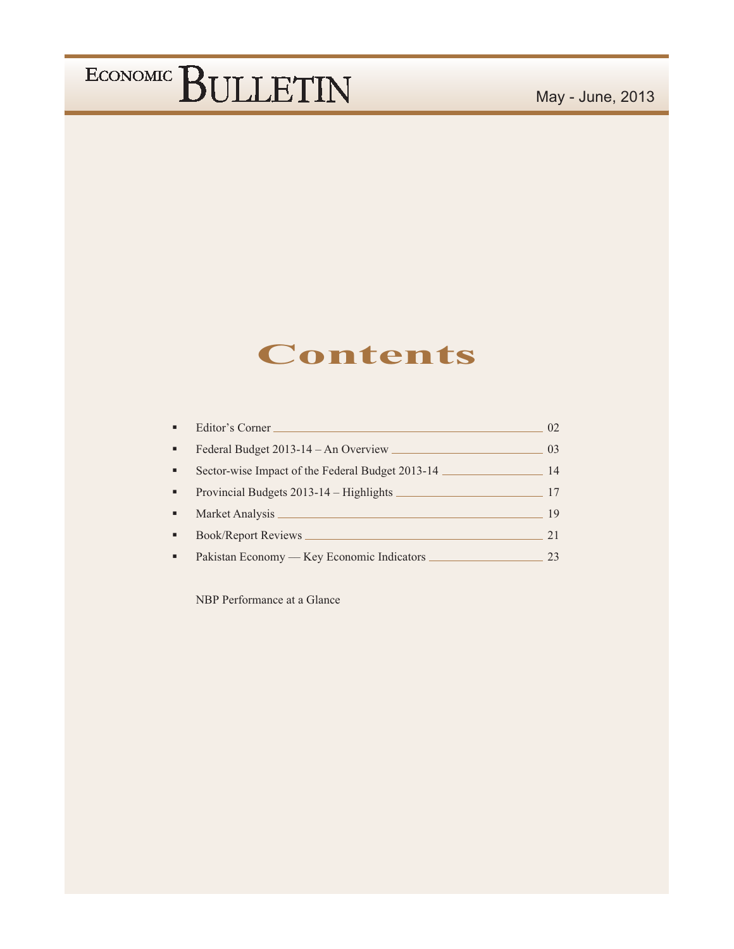### **Contents**

| ٠              | Editor's Corner                                  | 02 <sub>1</sub> |
|----------------|--------------------------------------------------|-----------------|
| $\blacksquare$ | Federal Budget 2013-14 - An Overview             | 03              |
| ٠              | Sector-wise Impact of the Federal Budget 2013-14 | 14              |
| $\blacksquare$ | Provincial Budgets 2013-14 – Highlights          | 17              |
| ٠              |                                                  | 19              |
|                | Book/Report Reviews                              | 2.1             |
| ٠              | Pakistan Economy — Key Economic Indicators       | 23              |

NBP Performance at a Glance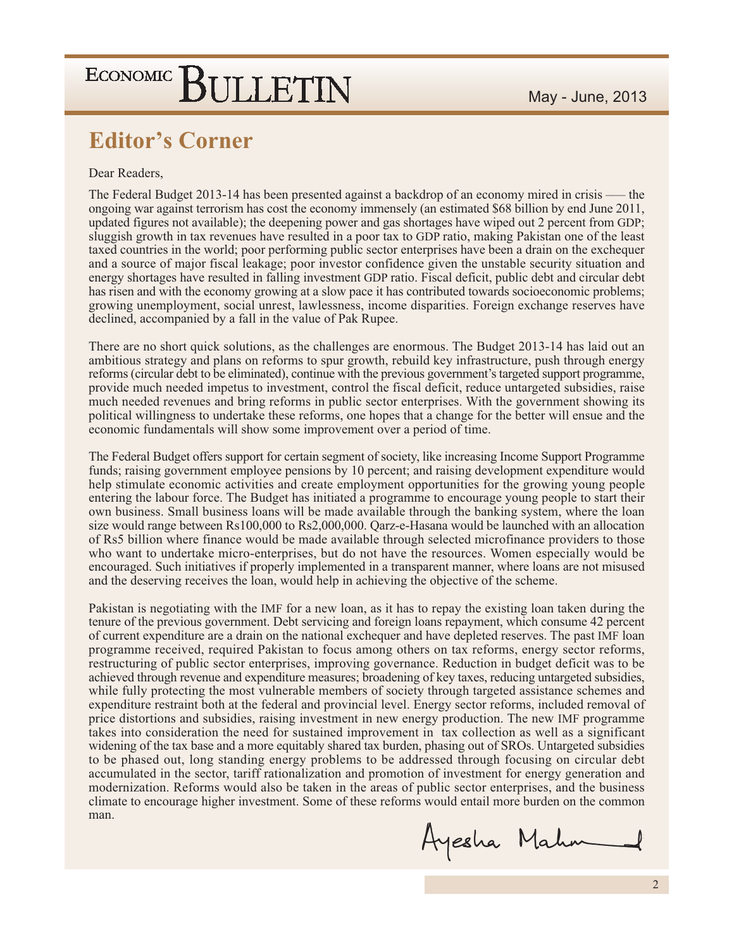### **Editor's Corner**

#### Dear Readers.

The Federal Budget 2013-14 has been presented against a backdrop of an economy mired in crisis — the ongoing war against terrorism has cost the economy immensely (an estimated \$68 billion by end June 2011, updated figures not available); the deepening power and gas shortages have wiped out 2 percent from GDP; sluggish growth in tax revenues have resulted in a poor tax to GDP ratio, making Pakistan one of the least taxed countries in the world; poor performing public sector enterprises have been a drain on the exchequer and a source of major fiscal leakage; poor investor confidence given the unstable security situation and energy shortages have resulted in falling investment GDP ratio. Fiscal deficit, public debt and circular debt has risen and with the economy growing at a slow pace it has contributed towards socioeconomic problems; growing unemployment, social unrest, lawlessness, income disparities. Foreign exchange reserves have declined, accompanied by a fall in the value of Pak Rupee.

There are no short quick solutions, as the challenges are enormous. The Budget 2013-14 has laid out an ambitious strategy and plans on reforms to spur growth, rebuild key infrastructure, push through energy reforms (circular debt to be eliminated), continue with the previous government's targeted support programme, provide much needed impetus to investment, control the fiscal deficit, reduce untargeted subsidies, raise much needed revenues and bring reforms in public sector enterprises. With the government showing its political willingness to undertake these reforms, one hopes that a change for the better will ensue and the economic fundamentals will show some improvement over a period of time.

The Federal Budget offers support for certain segment of society, like increasing Income Support Programme funds; raising government employee pensions by 10 percent; and raising development expenditure would help stimulate economic activities and create employment opportunities for the growing young people entering the labour force. The Budget has initiated a programme to encourage young people to start their own business. Small business loans will be made available through the banking system, where the loan size would range between Rs100,000 to Rs2,000,000. Qarz-e-Hasana would be launched with an allocation of Rs5 billion where finance would be made available through selected microfinance providers to those who want to undertake micro-enterprises, but do not have the resources. Women especially would be encouraged. Such initiatives if properly implemented in a transparent manner, where loans are not misused and the deserving receives the loan, would help in achieving the objective of the scheme.

Pakistan is negotiating with the IMF for a new loan, as it has to repay the existing loan taken during the tenure of the previous government. Debt servicing and foreign loans repayment, which consume 42 percent of current expenditure are a drain on the national exchequer and have depleted reserves. The past IMF loan programme received, required Pakistan to focus among others on tax reforms, energy sector reforms, restructuring of public sector enterprises, improving governance. Reduction in budget deficit was to be achieved through revenue and expenditure measures; broadening of key taxes, reducing untargeted subsidies, while fully protecting the most vulnerable members of society through targeted assistance schemes and expenditure restraint both at the federal and provincial level. Energy sector reforms, included removal of price distortions and subsidies, raising investment in new energy production. The new IMF programme takes into consideration the need for sustained improvement in tax collection as well as a significant widening of the tax base and a more equitably shared tax burden, phasing out of SROs. Untargeted subsidies to be phased out, long standing energy problems to be addressed through focusing on circular debt accumulated in the sector, tariff rationalization and promotion of investment for energy generation and modernization. Reforms would also be taken in the areas of public sector enterprises, and the business climate to encourage higher investment. Some of these reforms would entail more burden on the common man.

Ayesha Mahm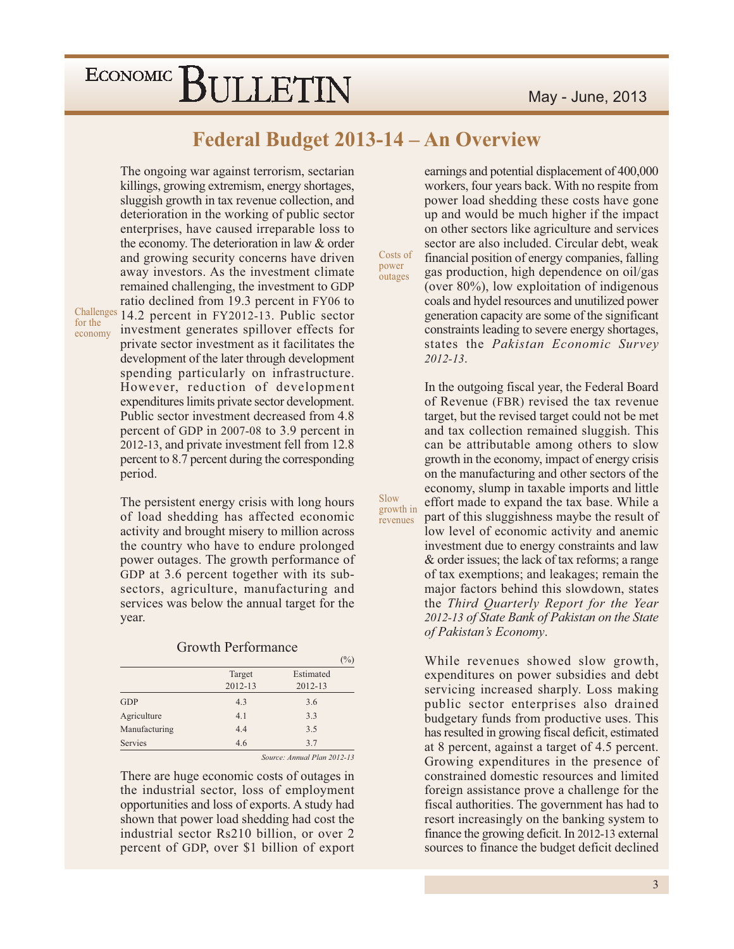### May - June, 2013

# ECONOMIC BULLETIN

The ongoing war against terrorism, sectarian

### Federal Budget 2013-14 - An Overview

Costs of

power

Slow

growth in

revenues

outages

killings, growing extremism, energy shortages, sluggish growth in tax revenue collection, and deterioration in the working of public sector enterprises, have caused irreparable loss to the economy. The deterioration in law & order and growing security concerns have driven away investors. As the investment climate remained challenging, the investment to GDP ratio declined from 19.3 percent in FY06 to Challenges 14.2 percent in FY2012-13. Public sector investment generates spillover effects for private sector investment as it facilitates the development of the later through development spending particularly on infrastructure. However, reduction of development expenditures limits private sector development. Public sector investment decreased from 4.8 percent of GDP in 2007-08 to 3.9 percent in 2012-13, and private investment fell from 12.8 percent to 8.7 percent during the corresponding period.

for the

economy

The persistent energy crisis with long hours of load shedding has affected economic activity and brought misery to million across the country who have to endure prolonged power outages. The growth performance of GDP at 3.6 percent together with its subsectors, agriculture, manufacturing and services was below the annual target for the year.

#### **Growth Performance**

|                |         | $\frac{9}{2}$ |
|----------------|---------|---------------|
|                | Target  | Estimated     |
|                | 2012-13 | 2012-13       |
| <b>GDP</b>     | 4.3     | 3.6           |
| Agriculture    | 4.1     | 3.3           |
| Manufacturing  | 4.4     | 3.5           |
| <b>Servies</b> | 4.6     | 3.7           |

Source: Annual Plan 2012-13

There are huge economic costs of outages in the industrial sector, loss of employment opportunities and loss of exports. A study had shown that power load shedding had cost the industrial sector Rs210 billion, or over 2 percent of GDP, over \$1 billion of export

earnings and potential displacement of 400,000 workers, four years back. With no respite from power load shedding these costs have gone up and would be much higher if the impact on other sectors like agriculture and services sector are also included. Circular debt, weak financial position of energy companies, falling gas production, high dependence on oil/gas (over  $80\%$ ), low exploitation of indigenous coals and hydel resources and unutilized power generation capacity are some of the significant constraints leading to severe energy shortages, states the Pakistan Economic Survey  $2012 - 13.$ 

In the outgoing fiscal year, the Federal Board of Revenue (FBR) revised the tax revenue target, but the revised target could not be met and tax collection remained sluggish. This can be attributable among others to slow growth in the economy, impact of energy crisis on the manufacturing and other sectors of the economy, slump in taxable imports and little effort made to expand the tax base. While a part of this sluggishness maybe the result of low level of economic activity and anemic investment due to energy constraints and law & order issues; the lack of tax reforms; a range of tax exemptions; and leakages; remain the major factors behind this slowdown, states the Third Quarterly Report for the Year 2012-13 of State Bank of Pakistan on the State of Pakistan's Economy.

While revenues showed slow growth, expenditures on power subsidies and debt servicing increased sharply. Loss making public sector enterprises also drained budgetary funds from productive uses. This has resulted in growing fiscal deficit, estimated at 8 percent, against a target of 4.5 percent. Growing expenditures in the presence of constrained domestic resources and limited foreign assistance prove a challenge for the fiscal authorities. The government has had to resort increasingly on the banking system to finance the growing deficit. In 2012-13 external sources to finance the budget deficit declined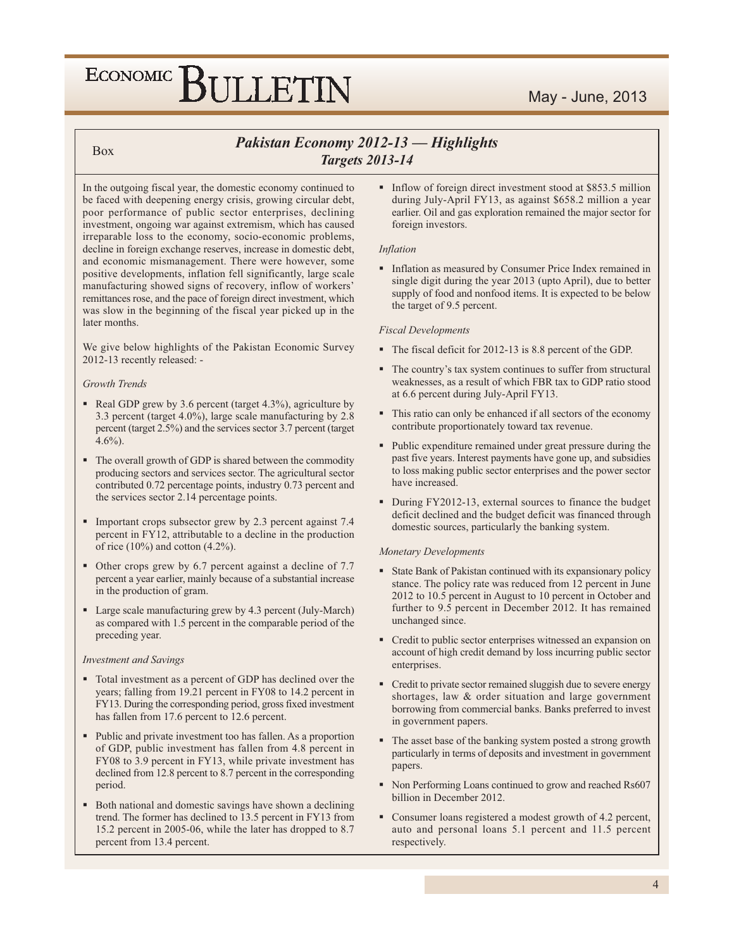### May - June, 2013

#### **Box**

### Pakistan Economy 2012-13 - Highlights **Targets 2013-14**

In the outgoing fiscal year, the domestic economy continued to be faced with deepening energy crisis, growing circular debt, poor performance of public sector enterprises, declining investment, ongoing war against extremism, which has caused irreparable loss to the economy, socio-economic problems, decline in foreign exchange reserves, increase in domestic debt, and economic mismanagement. There were however, some positive developments, inflation fell significantly, large scale manufacturing showed signs of recovery, inflow of workers' remittances rose, and the pace of foreign direct investment, which was slow in the beginning of the fiscal year picked up in the later months.

We give below highlights of the Pakistan Economic Survey 2012-13 recently released: -

#### Growth Trends

- Real GDP grew by 3.6 percent (target 4.3%), agriculture by 3.3 percent (target 4.0%), large scale manufacturing by 2.8 percent (target 2.5%) and the services sector 3.7 percent (target  $4.6\%$ ).
- The overall growth of GDP is shared between the commodity producing sectors and services sector. The agricultural sector contributed 0.72 percentage points, industry 0.73 percent and the services sector 2.14 percentage points.
- Important crops subsector grew by 2.3 percent against 7.4 percent in FY12, attributable to a decline in the production of rice  $(10\%)$  and cotton  $(4.2\%)$ .
- Other crops grew by 6.7 percent against a decline of 7.7 percent a year earlier, mainly because of a substantial increase in the production of gram.
- Large scale manufacturing grew by 4.3 percent (July-March) as compared with 1.5 percent in the comparable period of the preceding year.

#### **Investment** and Savings

- Total investment as a percent of GDP has declined over the years; falling from 19.21 percent in FY08 to 14.2 percent in FY13. During the corresponding period, gross fixed investment has fallen from 17.6 percent to 12.6 percent.
- Public and private investment too has fallen. As a proportion of GDP, public investment has fallen from 4.8 percent in FY08 to 3.9 percent in FY13, while private investment has declined from 12.8 percent to 8.7 percent in the corresponding period.
- Both national and domestic savings have shown a declining trend. The former has declined to 13.5 percent in FY13 from 15.2 percent in 2005-06, while the later has dropped to 8.7 percent from 13.4 percent.

• Inflow of foreign direct investment stood at \$853.5 million during July-April FY13, as against \$658.2 million a year earlier. Oil and gas exploration remained the major sector for foreign investors.

#### **Inflation**

Inflation as measured by Consumer Price Index remained in single digit during the year 2013 (upto April), due to better supply of food and nonfood items. It is expected to be below the target of 9.5 percent.

#### **Fiscal Developments**

- The fiscal deficit for 2012-13 is 8.8 percent of the GDP.
- The country's tax system continues to suffer from structural weaknesses, as a result of which FBR tax to GDP ratio stood at 6.6 percent during July-April FY13.
- This ratio can only be enhanced if all sectors of the economy contribute proportionately toward tax revenue.
- Public expenditure remained under great pressure during the past five years. Interest payments have gone up, and subsidies to loss making public sector enterprises and the power sector have increased.
- During FY2012-13, external sources to finance the budget deficit declined and the budget deficit was financed through domestic sources, particularly the banking system.

#### **Monetary Developments**

- State Bank of Pakistan continued with its expansionary policy stance. The policy rate was reduced from 12 percent in June 2012 to 10.5 percent in August to 10 percent in October and further to 9.5 percent in December 2012. It has remained unchanged since.
- Credit to public sector enterprises witnessed an expansion on account of high credit demand by loss incurring public sector enterprises.
- Credit to private sector remained sluggish due to severe energy shortages, law & order situation and large government borrowing from commercial banks. Banks preferred to invest in government papers.
- The asset base of the banking system posted a strong growth particularly in terms of deposits and investment in government papers.
- Non Performing Loans continued to grow and reached Rs607 billion in December 2012.
- Consumer loans registered a modest growth of 4.2 percent, auto and personal loans 5.1 percent and 11.5 percent respectively.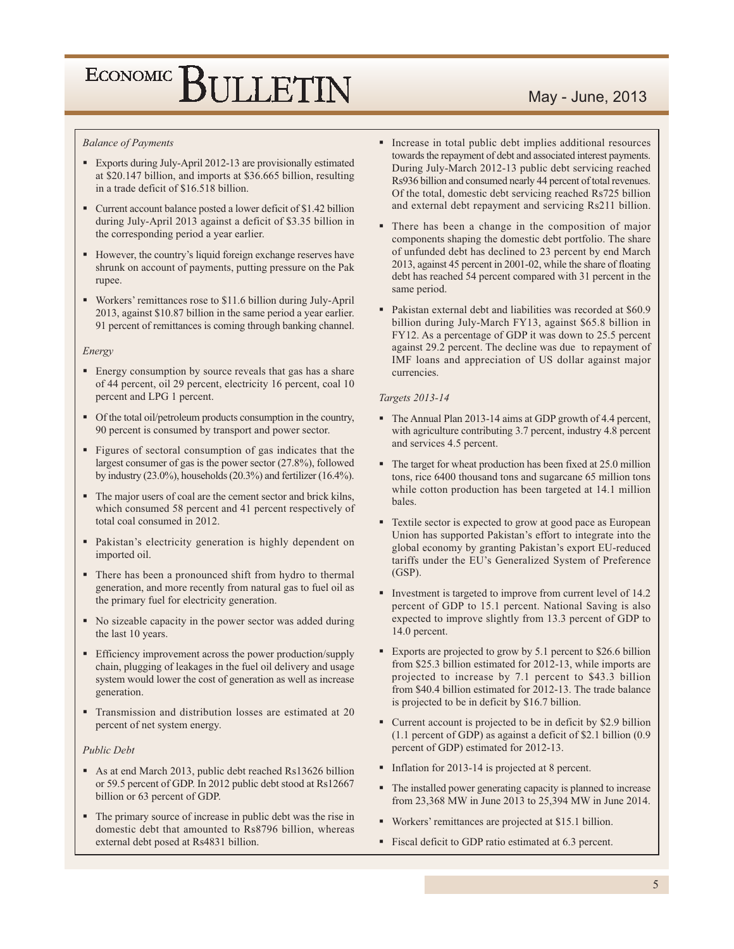### May - June, 2013

#### **Balance of Payments**

- Exports during July-April 2012-13 are provisionally estimated at \$20.147 billion, and imports at \$36.665 billion, resulting in a trade deficit of \$16.518 billion.
- Current account balance posted a lower deficit of \$1.42 billion during July-April 2013 against a deficit of \$3.35 billion in the corresponding period a year earlier.
- However, the country's liquid foreign exchange reserves have shrunk on account of payments, putting pressure on the Pak rupee.
- Workers' remittances rose to \$11.6 billion during July-April 2013, against \$10.87 billion in the same period a year earlier. 91 percent of remittances is coming through banking channel.

#### Energy

- Energy consumption by source reveals that gas has a share of 44 percent, oil 29 percent, electricity 16 percent, coal 10 percent and LPG 1 percent.
- Of the total oil/petroleum products consumption in the country, 90 percent is consumed by transport and power sector.
- Figures of sectoral consumption of gas indicates that the largest consumer of gas is the power sector (27.8%), followed by industry  $(23.0\%)$ , households  $(20.3\%)$  and fertilizer  $(16.4\%)$ .
- The major users of coal are the cement sector and brick kilns, which consumed 58 percent and 41 percent respectively of total coal consumed in 2012.
- Pakistan's electricity generation is highly dependent on imported oil.
- There has been a pronounced shift from hydro to thermal generation, and more recently from natural gas to fuel oil as the primary fuel for electricity generation.
- No sizeable capacity in the power sector was added during the last 10 years.
- Efficiency improvement across the power production/supply chain, plugging of leakages in the fuel oil delivery and usage system would lower the cost of generation as well as increase generation.
- Transmission and distribution losses are estimated at 20 percent of net system energy.

#### Public Debt

- As at end March 2013, public debt reached Rs13626 billion or 59.5 percent of GDP. In 2012 public debt stood at Rs12667 billion or 63 percent of GDP.
- The primary source of increase in public debt was the rise in domestic debt that amounted to Rs8796 billion, whereas external debt posed at Rs4831 billion.
- Increase in total public debt implies additional resources towards the repayment of debt and associated interest payments. During July-March 2012-13 public debt servicing reached Rs936 billion and consumed nearly 44 percent of total revenues. Of the total, domestic debt servicing reached Rs725 billion and external debt repayment and servicing Rs211 billion.
- There has been a change in the composition of major components shaping the domestic debt portfolio. The share of unfunded debt has declined to 23 percent by end March 2013, against 45 percent in 2001-02, while the share of floating debt has reached 54 percent compared with 31 percent in the same period.
- Pakistan external debt and liabilities was recorded at \$60.9 billion during July-March FY13, against \$65.8 billion in FY12. As a percentage of GDP it was down to 25.5 percent against 29.2 percent. The decline was due to repayment of IMF loans and appreciation of US dollar against major currencies.

#### Targets 2013-14

- The Annual Plan 2013-14 aims at GDP growth of 4.4 percent, with agriculture contributing 3.7 percent, industry 4.8 percent and services 4.5 percent.
- The target for wheat production has been fixed at 25.0 million tons, rice 6400 thousand tons and sugarcane 65 million tons while cotton production has been targeted at 14.1 million bales.
- Textile sector is expected to grow at good pace as European Union has supported Pakistan's effort to integrate into the global economy by granting Pakistan's export EU-reduced tariffs under the EU's Generalized System of Preference  $(GSP)$ .
- Investment is targeted to improve from current level of 14.2 percent of GDP to 15.1 percent. National Saving is also expected to improve slightly from 13.3 percent of GDP to 14.0 percent.
- Exports are projected to grow by 5.1 percent to \$26.6 billion from \$25.3 billion estimated for 2012-13, while imports are projected to increase by 7.1 percent to \$43.3 billion from \$40.4 billion estimated for 2012-13. The trade balance is projected to be in deficit by \$16.7 billion.
- Current account is projected to be in deficit by \$2.9 billion (1.1 percent of GDP) as against a deficit of \$2.1 billion (0.9 percent of GDP) estimated for 2012-13.
- Inflation for 2013-14 is projected at 8 percent.
- The installed power generating capacity is planned to increase from 23,368 MW in June 2013 to 25,394 MW in June 2014.
- Workers' remittances are projected at \$15.1 billion.
- Fiscal deficit to GDP ratio estimated at 6.3 percent.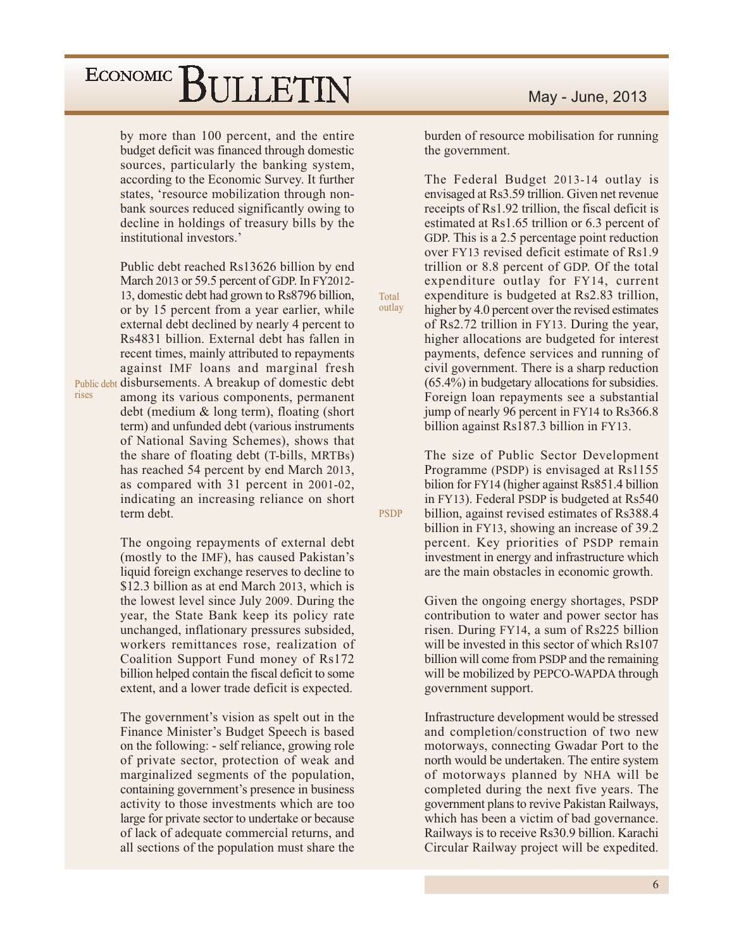by more than 100 percent, and the entire budget deficit was financed through domestic sources, particularly the banking system, according to the Economic Survey. It further states, 'resource mobilization through nonbank sources reduced significantly owing to decline in holdings of treasury bills by the institutional investors.'

Public debt reached Rs13626 billion by end March 2013 or 59.5 percent of GDP. In FY2012-13, domestic debt had grown to Rs8796 billion, or by 15 percent from a year earlier, while external debt declined by nearly 4 percent to Rs4831 billion. External debt has fallen in recent times, mainly attributed to repayments against IMF loans and marginal fresh Public debt disbursements. A breakup of domestic debt among its various components, permanent debt (medium & long term), floating (short term) and unfunded debt (various instruments of National Saving Schemes), shows that the share of floating debt (T-bills, MRTBs) has reached 54 percent by end March 2013, as compared with 31 percent in 2001-02, indicating an increasing reliance on short

rises

term debt.

The ongoing repayments of external debt (mostly to the IMF), has caused Pakistan's liquid foreign exchange reserves to decline to \$12.3 billion as at end March 2013, which is the lowest level since July 2009. During the year, the State Bank keep its policy rate unchanged, inflationary pressures subsided, workers remittances rose, realization of Coalition Support Fund money of Rs172 billion helped contain the fiscal deficit to some extent, and a lower trade deficit is expected.

The government's vision as spelt out in the Finance Minister's Budget Speech is based on the following: - self reliance, growing role of private sector, protection of weak and marginalized segments of the population, containing government's presence in business activity to those investments which are too large for private sector to undertake or because of lack of adequate commercial returns, and all sections of the population must share the burden of resource mobilisation for running the government.

The Federal Budget 2013-14 outlay is envisaged at Rs3.59 trillion. Given net revenue receipts of Rs1.92 trillion, the fiscal deficit is estimated at Rs1.65 trillion or 6.3 percent of GDP. This is a 2.5 percentage point reduction over FY13 revised deficit estimate of Rs1.9 trillion or 8.8 percent of GDP. Of the total expenditure outlay for FY14, current expenditure is budgeted at Rs2.83 trillion, higher by 4.0 percent over the revised estimates of Rs2.72 trillion in FY13. During the year, higher allocations are budgeted for interest payments, defence services and running of civil government. There is a sharp reduction  $(65.4\%)$  in budgetary allocations for subsidies. Foreign loan repayments see a substantial jump of nearly 96 percent in FY14 to Rs366.8 billion against Rs187.3 billion in FY13.

Total

outlay

**PSDP** 

The size of Public Sector Development Programme (PSDP) is envisaged at Rs1155 bilion for FY14 (higher against Rs851.4 billion in FY13). Federal PSDP is budgeted at Rs540 billion, against revised estimates of Rs388.4 billion in FY13, showing an increase of 39.2 percent. Key priorities of PSDP remain investment in energy and infrastructure which are the main obstacles in economic growth.

Given the ongoing energy shortages, PSDP contribution to water and power sector has risen. During FY14, a sum of Rs225 billion will be invested in this sector of which Rs107 billion will come from PSDP and the remaining will be mobilized by PEPCO-WAPDA through government support.

Infrastructure development would be stressed and completion/construction of two new motorways, connecting Gwadar Port to the north would be undertaken. The entire system of motorways planned by NHA will be completed during the next five years. The government plans to revive Pakistan Railways, which has been a victim of bad governance. Railways is to receive Rs30.9 billion. Karachi Circular Railway project will be expedited.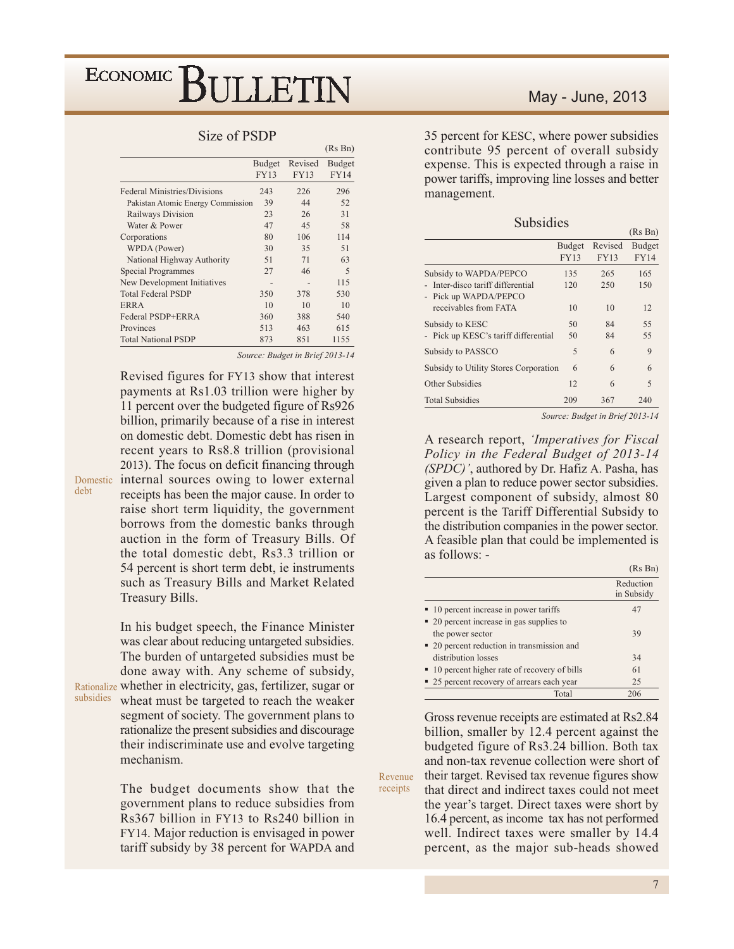#### Size of PSDP

|                                     |                              |                        | (INS DII)                    |
|-------------------------------------|------------------------------|------------------------|------------------------------|
|                                     | <b>Budget</b><br><b>FY13</b> | Revised<br><b>FY13</b> | <b>Budget</b><br><b>FY14</b> |
| <b>Federal Ministries/Divisions</b> | 243                          | 226                    | 296                          |
| Pakistan Atomic Energy Commission   | 39                           | 44                     | 52                           |
| Railways Division                   | 23                           | 26                     | 31                           |
| Water & Power                       | 47                           | 45                     | 58                           |
| Corporations                        | 80                           | 106                    | 114                          |
| WPDA (Power)                        | 30                           | 35                     | 51                           |
| National Highway Authority          | 51                           | 71                     | 63                           |
| <b>Special Programmes</b>           | 27                           | 46                     | 5                            |
| New Development Initiatives         |                              |                        | 115                          |
| <b>Total Federal PSDP</b>           | 350                          | 378                    | 530                          |
| <b>ERRA</b>                         | 10                           | 10                     | 10                           |
| Federal PSDP+ERRA                   | 360                          | 388                    | 540                          |
| Provinces                           | 513                          | 463                    | 615                          |
| <b>Total National PSDP</b>          | 873                          | 851                    | 1155                         |

Source: Budget in Brief 2013-14

 $(D_0, D_0)$ 

Revised figures for FY13 show that interest payments at Rs1.03 trillion were higher by 11 percent over the budgeted figure of Rs926 billion, primarily because of a rise in interest on domestic debt. Domestic debt has risen in recent years to Rs8.8 trillion (provisional 2013). The focus on deficit financing through Domestic internal sources owing to lower external receipts has been the major cause. In order to raise short term liquidity, the government borrows from the domestic banks through auction in the form of Treasury Bills. Of the total domestic debt, Rs3.3 trillion or 54 percent is short term debt, ie instruments such as Treasury Bills and Market Related Treasury Bills.

> In his budget speech, the Finance Minister was clear about reducing untargeted subsidies. The burden of untargeted subsidies must be done away with. Any scheme of subsidy,

deht

Rationalize whether in electricity, gas, fertilizer, sugar or subsidies wheat must be targeted to reach the weaker segment of society. The government plans to rationalize the present subsidies and discourage their indiscriminate use and evolve targeting mechanism.

> The budget documents show that the government plans to reduce subsidies from Rs367 billion in FY13 to Rs240 billion in FY14. Major reduction is envisaged in power tariff subsidy by 38 percent for WAPDA and

35 percent for KESC, where power subsidies contribute 95 percent of overall subsidy expense. This is expected through a raise in power tariffs, improving line losses and better management.

| Subsidie |  |  |
|----------|--|--|

|                                                          |                              |                        | (Rs Bn)               |
|----------------------------------------------------------|------------------------------|------------------------|-----------------------|
|                                                          | <b>Budget</b><br><b>FY13</b> | Revised<br><b>FY13</b> | Budget<br><b>FY14</b> |
|                                                          |                              |                        |                       |
| Subsidy to WAPDA/PEPCO                                   | 135                          | 265                    | 165                   |
| Inter-disco tariff differential<br>- Pick up WAPDA/PEPCO | 120                          | 250                    | 150                   |
| receivables from FATA                                    | 10                           | 10                     | 12                    |
| Subsidy to KESC                                          | 50                           | 84                     | 55                    |
| - Pick up KESC's tariff differential                     | 50                           | 84                     | 55                    |
| Subsidy to PASSCO                                        | 5                            | 6                      | 9                     |
| Subsidy to Utility Stores Corporation                    | 6                            | 6                      | 6                     |
| Other Subsidies                                          | 12                           | 6                      | $\overline{5}$        |
| <b>Total Subsidies</b>                                   | 209                          | 367                    | 240                   |

Source: Budget in Brief 2013-14

A research report, *'Imperatives for Fiscal* Policy in the Federal Budget of 2013-14 (SPDC)', authored by Dr. Hafiz A. Pasha, has given a plan to reduce power sector subsidies. Largest component of subsidy, almost 80 percent is the Tariff Differential Subsidy to the distribution companies in the power sector. A feasible plan that could be implemented is as follows: -

|                                               | $(KS_1)$                |
|-----------------------------------------------|-------------------------|
|                                               | Reduction<br>in Subsidy |
| ■ 10 percent increase in power tariffs        | 47                      |
| • 20 percent increase in gas supplies to      |                         |
| the power sector                              | 39                      |
| • 20 percent reduction in transmission and    |                         |
| distribution losses                           | 34                      |
| • 10 percent higher rate of recovery of bills | 61                      |
| • 25 percent recovery of arrears each year    | 25                      |
| Total                                         | 206                     |

Gross revenue receipts are estimated at Rs2.84 billion, smaller by 12.4 percent against the budgeted figure of Rs3.24 billion. Both tax and non-tax revenue collection were short of their target. Revised tax revenue figures show that direct and indirect taxes could not meet the year's target. Direct taxes were short by 16.4 percent, as income tax has not performed well. Indirect taxes were smaller by 14.4 percent, as the major sub-heads showed

Revenue

receipts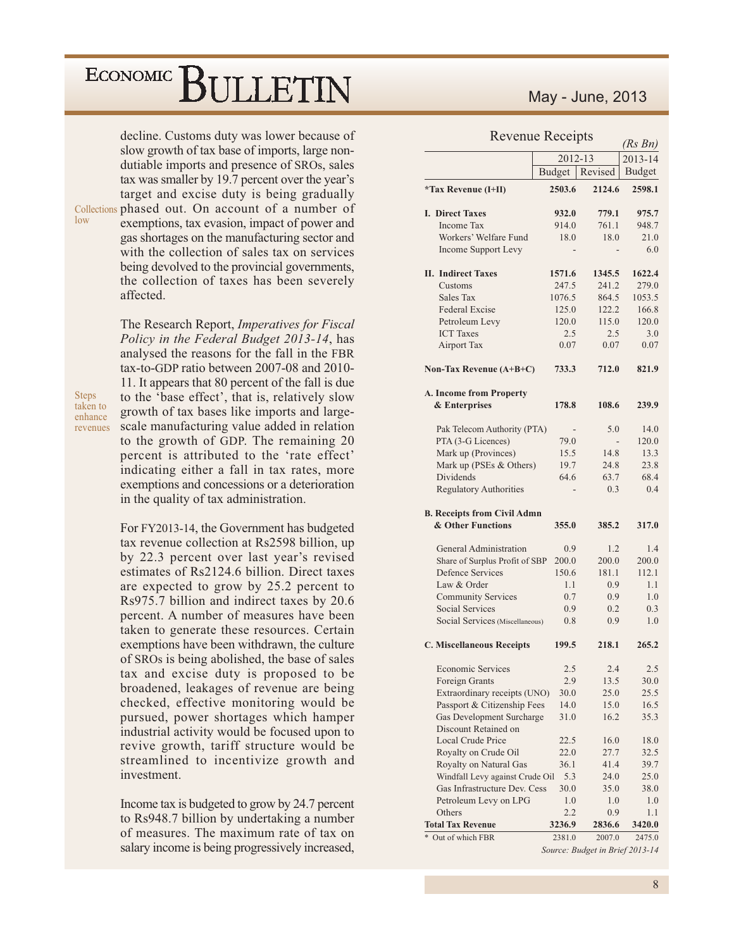decline. Customs duty was lower because of slow growth of tax base of imports, large nondutiable imports and presence of SROs, sales tax was smaller by 19.7 percent over the year's target and excise duty is being gradually Collections phased out. On account of a number of exemptions, tax evasion, impact of power and gas shortages on the manufacturing sector and with the collection of sales tax on services being devolved to the provincial governments, the collection of taxes has been severely affected.

> The Research Report, *Imperatives for Fiscal* Policy in the Federal Budget 2013-14, has analysed the reasons for the fall in the FBR tax-to-GDP ratio between 2007-08 and 2010-11. It appears that 80 percent of the fall is due to the 'base effect', that is, relatively slow growth of tax bases like imports and largescale manufacturing value added in relation to the growth of GDP. The remaining 20 percent is attributed to the 'rate effect' indicating either a fall in tax rates, more exemptions and concessions or a deterioration in the quality of tax administration.

**Steps** taken to enhance revenues

low

For FY2013-14, the Government has budgeted tax revenue collection at Rs2598 billion, up by 22.3 percent over last year's revised estimates of Rs2124.6 billion. Direct taxes are expected to grow by 25.2 percent to Rs975.7 billion and indirect taxes by 20.6 percent. A number of measures have been taken to generate these resources. Certain exemptions have been withdrawn, the culture of SROs is being abolished, the base of sales tax and excise duty is proposed to be broadened, leakages of revenue are being checked, effective monitoring would be pursued, power shortages which hamper industrial activity would be focused upon to revive growth, tariff structure would be streamlined to incentivize growth and investment

Income tax is budgeted to grow by 24.7 percent to Rs948.7 billion by undertaking a number of measures. The maximum rate of tax on salary income is being progressively increased,

### May - June, 2013

#### $D_{\alpha\nu\rho\sigma\nu\rho}$ ,  $D_{\alpha\alpha\sigma}$

| <b>INCVULIUE INCLUIPIS</b><br>(Rs Bn)             |                  |                                           |               |
|---------------------------------------------------|------------------|-------------------------------------------|---------------|
|                                                   | 2012-13          |                                           | 2013-14       |
|                                                   | Budget           | Revised                                   | <b>Budget</b> |
| <i>*Tax Revenue (I+II)</i>                        | 2503.6           | 2124.6                                    | 2598.1        |
| <b>I. Direct Taxes</b>                            | 932.0            | 779.1                                     | 975.7         |
| <b>Income Tax</b>                                 | 914.0            | 761.1                                     | 948.7         |
| Workers' Welfare Fund                             | 18.0             | 18.0                                      | 21.0          |
| <b>Income Support Levy</b>                        |                  |                                           | 6.0           |
| <b>II.</b> Indirect Taxes                         | 1571.6           | 1345.5                                    | 1622.4        |
| Customs                                           | 247.5            | 241.2                                     | 279.0         |
| Sales Tax                                         | 1076.5           | 864.5                                     | 1053.5        |
| <b>Federal Excise</b>                             | 125.0            | 122.2                                     | 166.8         |
| Petroleum Levy                                    | 120.0            | 115.0                                     | 120.0         |
| <b>ICT</b> Taxes                                  | 2.5              | 2.5                                       | 3.0           |
| <b>Airport Tax</b>                                | 0.07             | 0.07                                      | 0.07          |
| Non-Tax Revenue (A+B+C)                           | 733.3            | 712.0                                     | 821.9         |
| A. Income from Property                           |                  |                                           |               |
| & Enterprises                                     | 178.8            | 108.6                                     | 239.9         |
| Pak Telecom Authority (PTA)                       |                  | 5.0                                       | 14.0          |
| PTA (3-G Licences)                                | 79.0             |                                           | 120.0         |
| Mark up (Provinces)                               | 15.5             | 14.8                                      | 13.3          |
| Mark up (PSEs & Others)                           | 19.7             | 24.8                                      | 23.8          |
| Dividends                                         | 64.6             | 63.7                                      | 68.4          |
| <b>Regulatory Authorities</b>                     |                  | 0.3                                       | 0.4           |
| <b>B. Receipts from Civil Admn</b>                |                  |                                           |               |
| & Other Functions                                 | 355.0            | 385.2                                     | 317.0         |
| General Administration                            | 0.9              | 1.2                                       | 1.4           |
| Share of Surplus Profit of SBP                    | 200.0            | 200.0                                     | 200.0         |
| <b>Defence Services</b>                           | 150.6            | 181.1                                     | 112.1         |
| Law & Order                                       | 1.1              | 0.9                                       | 1.1           |
| <b>Community Services</b>                         | 0.7              | 0.9                                       | 1.0           |
| <b>Social Services</b>                            | 0.9              | 0.2                                       | 0.3           |
| Social Services (Miscellaneous)                   | 0.8              | 0.9                                       | 1.0           |
| <b>C. Miscellaneous Receipts</b>                  | 199.5            | 218.1                                     | 265.2         |
| <b>Economic Services</b>                          | 2.5              | 2.4                                       | 2.5           |
| Foreign Grants                                    | 2.9              | 13.5                                      | 30.0          |
| Extraordinary receipts (UNO)                      | 30.0             | 25.0                                      | 25.5          |
| Passport & Citizenship Fees                       | 14.0             | 15.0                                      | 16.5          |
| Gas Development Surcharge<br>Discount Retained on | 31.0             | 16.2                                      | 35.3          |
| Local Crude Price                                 | 22.5             | 16.0                                      | 18.0          |
| Royalty on Crude Oil                              | 22.0             | 27.7                                      | 32.5          |
| Royalty on Natural Gas                            | 36.1             | 41.4                                      | 39.7          |
| Windfall Levy against Crude Oil                   | 5.3              | 24.0                                      | 25.0          |
| Gas Infrastructure Dev. Cess                      | 30.0             | 35.0                                      | 38.0          |
| Petroleum Levy on LPG                             | 1.0              | 1.0                                       | 1.0           |
| Others                                            | 2.2              | 0.9                                       | 1.1           |
| <b>Total Tax Revenue</b><br>Out of which FBR      | 3236.9<br>2381.0 | 2836.6                                    | 3420.0        |
|                                                   |                  | 2007.0<br>Source: Budget in Brief 2013-14 | 2475.0        |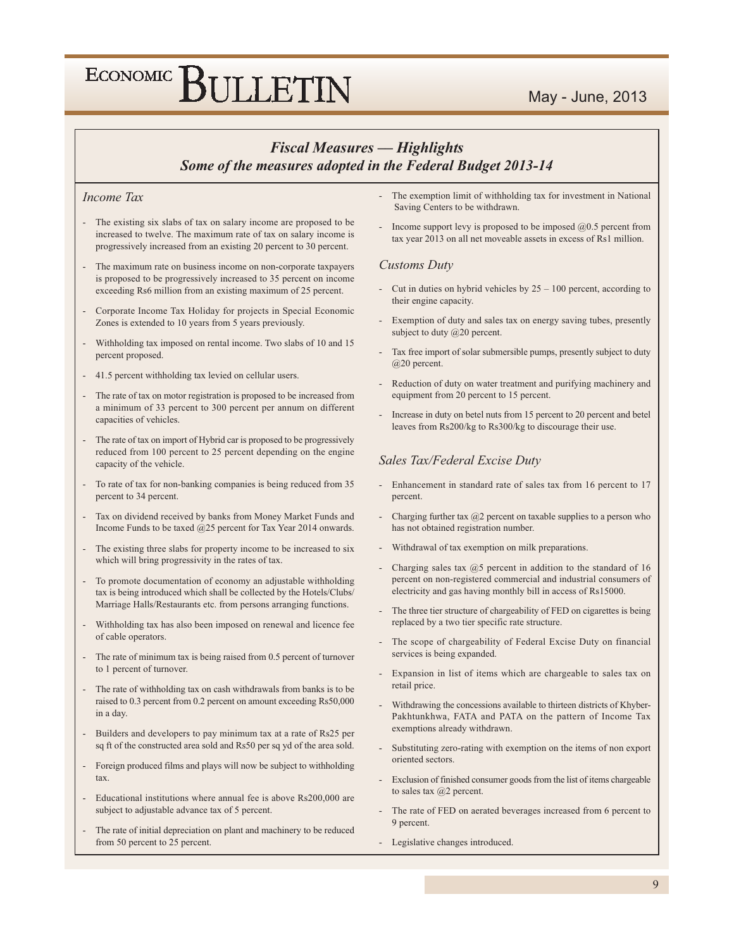### May - June, 2013

# ECONOMIC BULLETIN

### **Fiscal Measures - Highlights** Some of the measures adopted in the Federal Budget 2013-14

#### Income Tax

- The existing six slabs of tax on salary income are proposed to be increased to twelve. The maximum rate of tax on salary income is progressively increased from an existing 20 percent to 30 percent.
- The maximum rate on business income on non-corporate taxpayers is proposed to be progressively increased to 35 percent on income exceeding Rs6 million from an existing maximum of 25 percent.
- Corporate Income Tax Holiday for projects in Special Economic Zones is extended to 10 years from 5 years previously.
- Withholding tax imposed on rental income. Two slabs of 10 and 15 percent proposed.
- 41.5 percent withholding tax levied on cellular users.
- The rate of tax on motor registration is proposed to be increased from a minimum of 33 percent to 300 percent per annum on different capacities of vehicles.
- The rate of tax on import of Hybrid car is proposed to be progressively reduced from 100 percent to 25 percent depending on the engine capacity of the vehicle.
- To rate of tax for non-banking companies is being reduced from 35 percent to 34 percent.
- Tax on dividend received by banks from Money Market Funds and Income Funds to be taxed @25 percent for Tax Year 2014 onwards.
- The existing three slabs for property income to be increased to six which will bring progressivity in the rates of tax.
- To promote documentation of economy an adjustable withholding tax is being introduced which shall be collected by the Hotels/Clubs/ Marriage Halls/Restaurants etc. from persons arranging functions.
- Withholding tax has also been imposed on renewal and licence fee of cable operators.
- The rate of minimum tax is being raised from 0.5 percent of turnover to 1 percent of turnover.
- The rate of withholding tax on cash withdrawals from banks is to be raised to 0.3 percent from 0.2 percent on amount exceeding Rs50,000 in a day.
- Builders and developers to pay minimum tax at a rate of Rs25 per sq ft of the constructed area sold and Rs50 per sq yd of the area sold.
- Foreign produced films and plays will now be subject to withholding tax.
- Educational institutions where annual fee is above Rs200,000 are subject to adjustable advance tax of 5 percent.
- The rate of initial depreciation on plant and machinery to be reduced from 50 percent to 25 percent.
- The exemption limit of withholding tax for investment in National Saving Centers to be withdrawn.
- Income support levy is proposed to be imposed  $(20.5)$  percent from tax year 2013 on all net moveable assets in excess of Rs1 million.

#### **Customs Duty**

- Cut in duties on hybrid vehicles by  $25 100$  percent, according to their engine capacity.
- Exemption of duty and sales tax on energy saving tubes, presently subject to duty  $(a)20$  percent.
- Tax free import of solar submersible pumps, presently subject to duty @20 percent.
- Reduction of duty on water treatment and purifying machinery and equipment from 20 percent to 15 percent.
- Increase in duty on betel nuts from 15 percent to 20 percent and betel leaves from Rs200/kg to Rs300/kg to discourage their use.

#### Sales Tax/Federal Excise Duty

- Enhancement in standard rate of sales tax from 16 percent to 17 percent.
- Charging further tax  $@2$  percent on taxable supplies to a person who has not obtained registration number.
- Withdrawal of tax exemption on milk preparations.
- Charging sales tax  $@5$  percent in addition to the standard of 16 percent on non-registered commercial and industrial consumers of electricity and gas having monthly bill in access of Rs15000.
- The three tier structure of chargeability of FED on cigarettes is being replaced by a two tier specific rate structure.
- The scope of chargeability of Federal Excise Duty on financial services is being expanded.
- Expansion in list of items which are chargeable to sales tax on retail price.
- Withdrawing the concessions available to thirteen districts of Khyber-Pakhtunkhwa, FATA and PATA on the pattern of Income Tax exemptions already withdrawn.
- Substituting zero-rating with exemption on the items of non export oriented sectors.
- Exclusion of finished consumer goods from the list of items chargeable to sales tax @2 percent.
- The rate of FED on aerated beverages increased from 6 percent to 9 percent.
- Legislative changes introduced.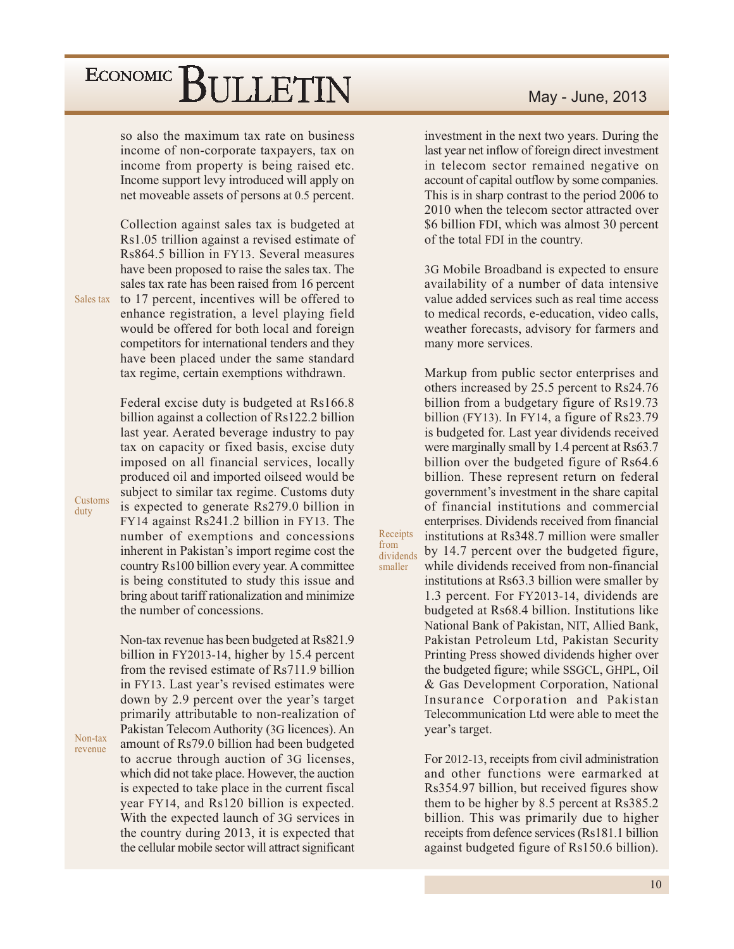so also the maximum tax rate on business income of non-corporate taxpayers, tax on income from property is being raised etc. Income support levy introduced will apply on net moveable assets of persons at 0.5 percent.

Collection against sales tax is budgeted at Rs1.05 trillion against a revised estimate of Rs864.5 billion in FY13. Several measures have been proposed to raise the sales tax. The sales tax rate has been raised from 16 percent

Sales tax to 17 percent, incentives will be offered to enhance registration, a level playing field would be offered for both local and foreign competitors for international tenders and they have been placed under the same standard tax regime, certain exemptions withdrawn.

> Federal excise duty is budgeted at Rs166.8 billion against a collection of Rs122.2 billion last year. Aerated beverage industry to pay tax on capacity or fixed basis, excise duty imposed on all financial services, locally produced oil and imported oilseed would be subject to similar tax regime. Customs duty is expected to generate Rs279.0 billion in FY14 against Rs241.2 billion in FY13. The number of exemptions and concessions inherent in Pakistan's import regime cost the country Rs100 billion every year. A committee is being constituted to study this issue and bring about tariff rationalization and minimize the number of concessions.

> Non-tax revenue has been budgeted at Rs821.9 billion in FY2013-14, higher by 15.4 percent from the revised estimate of Rs711.9 billion in FY13. Last year's revised estimates were down by 2.9 percent over the year's target primarily attributable to non-realization of Pakistan Telecom Authority (3G licences). An amount of Rs79.0 billion had been budgeted to accrue through auction of 3G licenses, which did not take place. However, the auction is expected to take place in the current fiscal year FY14, and Rs120 billion is expected. With the expected launch of 3G services in the country during 2013, it is expected that the cellular mobile sector will attract significant

investment in the next two years. During the last year net inflow of foreign direct investment in telecom sector remained negative on account of capital outflow by some companies. This is in sharp contrast to the period 2006 to 2010 when the telecom sector attracted over \$6 billion FDI, which was almost 30 percent of the total FDI in the country.

3G Mobile Broadband is expected to ensure availability of a number of data intensive value added services such as real time access to medical records, e-education, video calls. weather forecasts, advisory for farmers and many more services.

Markup from public sector enterprises and others increased by 25.5 percent to Rs24.76 billion from a budgetary figure of Rs19.73 billion (FY13). In FY14, a figure of  $Rs23.79$ is budgeted for. Last year dividends received were marginally small by 1.4 percent at Rs63.7 billion over the budgeted figure of Rs64.6 billion. These represent return on federal government's investment in the share capital of financial institutions and commercial enterprises. Dividends received from financial institutions at Rs348.7 million were smaller by 14.7 percent over the budgeted figure, while dividends received from non-financial institutions at Rs63.3 billion were smaller by

Receipts

dividends

smaller

from

1.3 percent. For FY2013-14, dividends are budgeted at Rs68.4 billion. Institutions like National Bank of Pakistan, NIT, Allied Bank, Pakistan Petroleum Ltd, Pakistan Security Printing Press showed dividends higher over the budgeted figure; while SSGCL, GHPL, Oil & Gas Development Corporation, National Insurance Corporation and Pakistan Telecommunication Ltd were able to meet the year's target.

For 2012-13, receipts from civil administration and other functions were earmarked at Rs354.97 billion, but received figures show them to be higher by 8.5 percent at Rs385.2 billion. This was primarily due to higher receipts from defence services (Rs181.1 billion against budgeted figure of Rs150.6 billion).

Customs duty

Non-tax revenue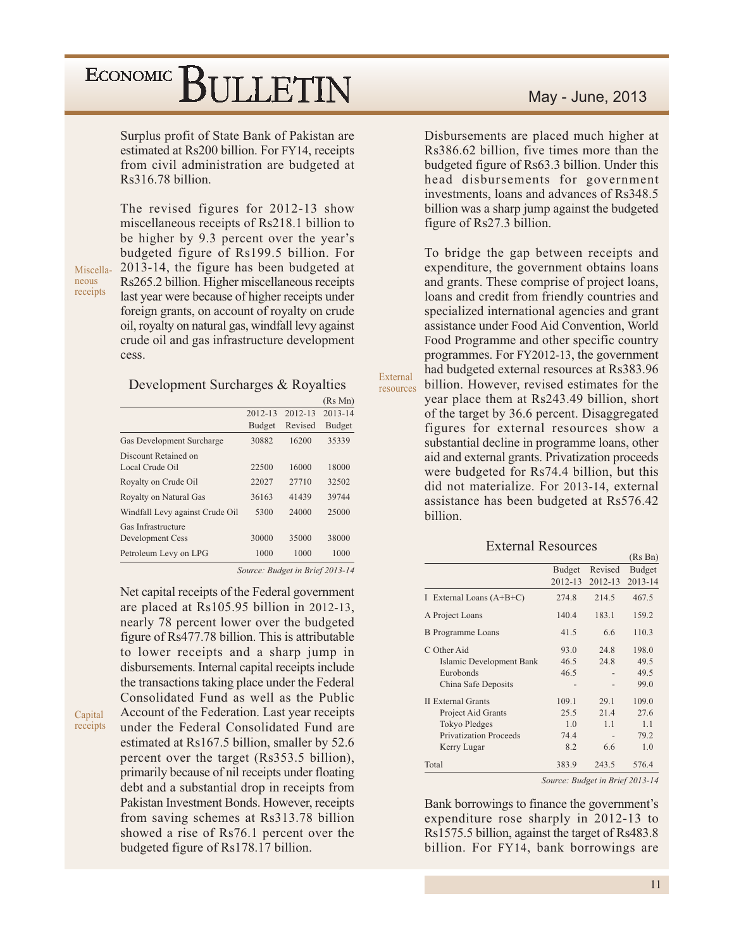Surplus profit of State Bank of Pakistan are estimated at Rs200 billion. For FY14, receipts from civil administration are budgeted at Rs316.78 billion.

Miscellaneous receipts

Capital receipts The revised figures for 2012-13 show miscellaneous receipts of Rs218.1 billion to be higher by 9.3 percent over the year's budgeted figure of Rs199.5 billion. For 2013-14, the figure has been budgeted at Rs265.2 billion. Higher miscellaneous receipts last year were because of higher receipts under foreign grants, on account of royalty on crude oil, royalty on natural gas, windfall levy against crude oil and gas infrastructure development cess.

#### Development Surcharges & Royalties

|                                 |               |         | (Rs Mn)       |
|---------------------------------|---------------|---------|---------------|
|                                 | $2012 - 13$   | 2012-13 | 2013-14       |
|                                 | <b>Budget</b> | Revised | <b>Budget</b> |
| Gas Development Surcharge       | 30882         | 16200   | 35339         |
| Discount Retained on            |               |         |               |
| Local Crude Oil                 | 22500         | 16000   | 18000         |
| Royalty on Crude Oil            | 22027         | 27710   | 32502         |
| Royalty on Natural Gas          | 36163         | 41439   | 39744         |
| Windfall Levy against Crude Oil | 5300          | 24000   | 25000         |
| Gas Infrastructure              |               |         |               |
| Development Cess                | 30000         | 35000   | 38000         |
| Petroleum Levy on LPG           | 1000          | 1000    | 1000          |

Source: Budget in Brief 2013-14

External

resources

Net capital receipts of the Federal government are placed at Rs105.95 billion in 2012-13, nearly 78 percent lower over the budgeted figure of Rs477.78 billion. This is attributable to lower receipts and a sharp jump in disbursements. Internal capital receipts include the transactions taking place under the Federal Consolidated Fund as well as the Public Account of the Federation. Last year receipts under the Federal Consolidated Fund are estimated at Rs167.5 billion, smaller by 52.6 percent over the target (Rs353.5 billion), primarily because of nil receipts under floating debt and a substantial drop in receipts from Pakistan Investment Bonds. However, receipts from saving schemes at Rs313.78 billion showed a rise of Rs76.1 percent over the budgeted figure of Rs178.17 billion.

Disbursements are placed much higher at Rs386.62 billion, five times more than the budgeted figure of Rs63.3 billion. Under this head disbursements for government investments, loans and advances of Rs348.5 billion was a sharp jump against the budgeted figure of Rs27.3 billion.

To bridge the gap between receipts and expenditure, the government obtains loans and grants. These comprise of project loans, loans and credit from friendly countries and specialized international agencies and grant assistance under Food Aid Convention, World Food Programme and other specific country programmes. For FY2012-13, the government had budgeted external resources at Rs383.96 billion. However, revised estimates for the

year place them at Rs243.49 billion, short of the target by 36.6 percent. Disaggregated figures for external resources show a substantial decline in programme loans, other aid and external grants. Privatization proceeds were budgeted for Rs74.4 billion, but this did not materialize. For 2013-14, external assistance has been budgeted at Rs576.42 billion.

#### **External Resources**

|                               |               |         | (Rs Bn)       |
|-------------------------------|---------------|---------|---------------|
|                               | <b>Budget</b> | Revised | <b>Budget</b> |
|                               | 2012-13       | 2012-13 | 2013-14       |
| I External Loans $(A+B+C)$    | 274.8         | 214.5   | 467.5         |
| A Project Loans               | 140.4         | 183.1   | 159.2         |
| <b>B</b> Programme Loans      | 41.5          | 6.6     | 110.3         |
| C Other Aid                   | 93.0          | 24.8    | 198.0         |
| Islamic Development Bank      | 46.5          | 24.8    | 49.5          |
| Eurobonds                     | 46.5          |         | 49.5          |
| China Safe Deposits           |               |         | 99.0          |
| <b>II</b> External Grants     | 109.1         | 29.1    | 109.0         |
| Project Aid Grants            | 25.5          | 21.4    | 27.6          |
| <b>Tokyo Pledges</b>          | 1.0           | 1.1     | 1.1           |
| <b>Privatization Proceeds</b> | 74.4          |         | 79.2          |
| Kerry Lugar                   | 8.2           | 6.6     | 1.0           |
| Total                         | 383.9         | 243.5   | 576.4         |

Source: Budget in Brief 2013-14

Bank borrowings to finance the government's expenditure rose sharply in 2012-13 to Rs1575.5 billion, against the target of Rs483.8 billion. For FY14, bank borrowings are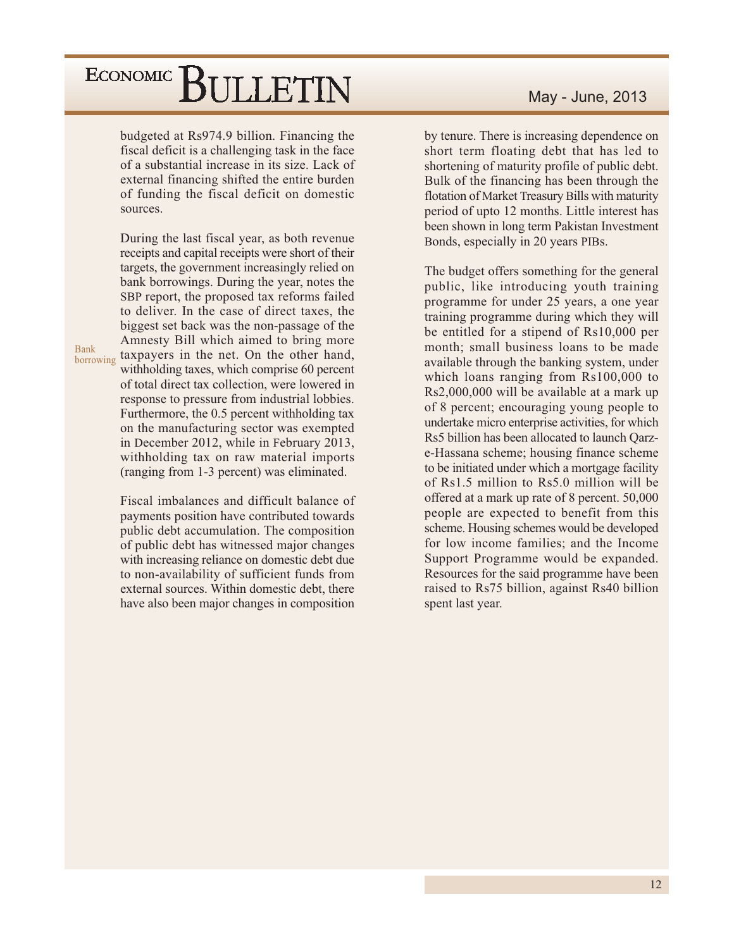budgeted at Rs974.9 billion. Financing the fiscal deficit is a challenging task in the face of a substantial increase in its size. Lack of external financing shifted the entire burden of funding the fiscal deficit on domestic sources.

During the last fiscal year, as both revenue receipts and capital receipts were short of their targets, the government increasingly relied on bank borrowings. During the year, notes the SBP report, the proposed tax reforms failed to deliver. In the case of direct taxes, the biggest set back was the non-passage of the Amnesty Bill which aimed to bring more taxpayers in the net. On the other hand, withholding taxes, which comprise 60 percent of total direct tax collection, were lowered in response to pressure from industrial lobbies. Furthermore, the 0.5 percent withholding tax on the manufacturing sector was exempted in December 2012, while in February 2013, withholding tax on raw material imports (ranging from 1-3 percent) was eliminated.

**Bank** 

borrowing

Fiscal imbalances and difficult balance of payments position have contributed towards public debt accumulation. The composition of public debt has witnessed major changes with increasing reliance on domestic debt due to non-availability of sufficient funds from external sources. Within domestic debt, there have also been major changes in composition

by tenure. There is increasing dependence on short term floating debt that has led to shortening of maturity profile of public debt. Bulk of the financing has been through the flotation of Market Treasury Bills with maturity period of upto 12 months. Little interest has been shown in long term Pakistan Investment Bonds, especially in 20 years PIBs.

The budget offers something for the general public, like introducing youth training programme for under 25 years, a one year training programme during which they will be entitled for a stipend of Rs10,000 per month; small business loans to be made available through the banking system, under which loans ranging from Rs100,000 to Rs2,000,000 will be available at a mark up of 8 percent; encouraging young people to undertake micro enterprise activities, for which Rs5 billion has been allocated to launch Qarze-Hassana scheme; housing finance scheme to be initiated under which a mortgage facility of Rs1.5 million to Rs5.0 million will be offered at a mark up rate of 8 percent. 50,000 people are expected to benefit from this scheme. Housing schemes would be developed for low income families; and the Income Support Programme would be expanded. Resources for the said programme have been raised to Rs75 billion, against Rs40 billion spent last year.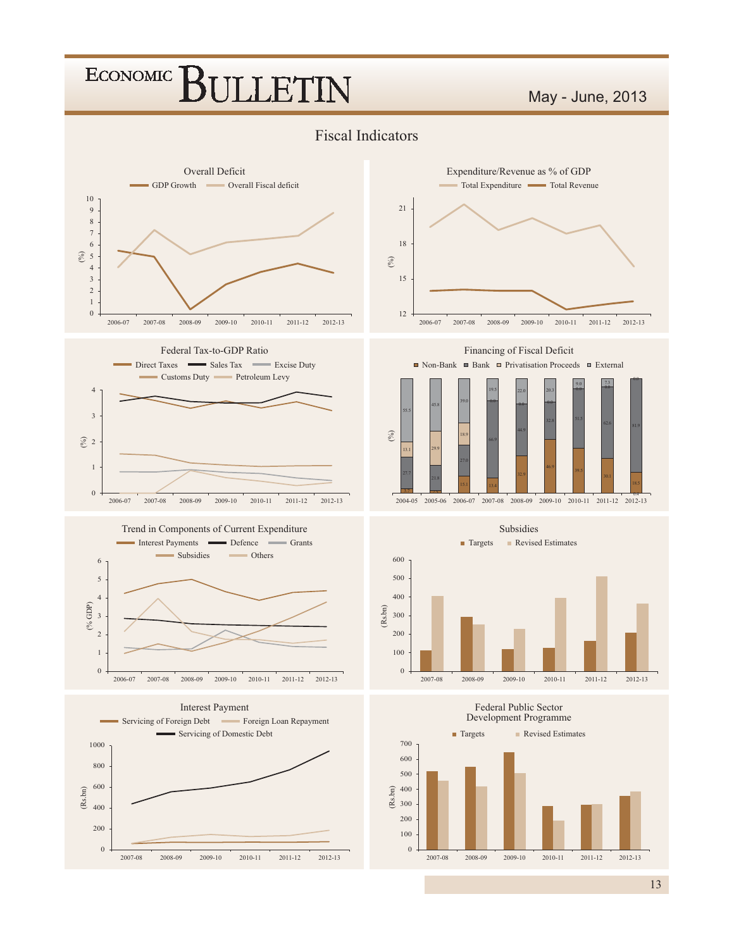### May - June, 2013

### Fiscal Indicators











Financing of Fiscal Deficit





#### Federal Public Sector



13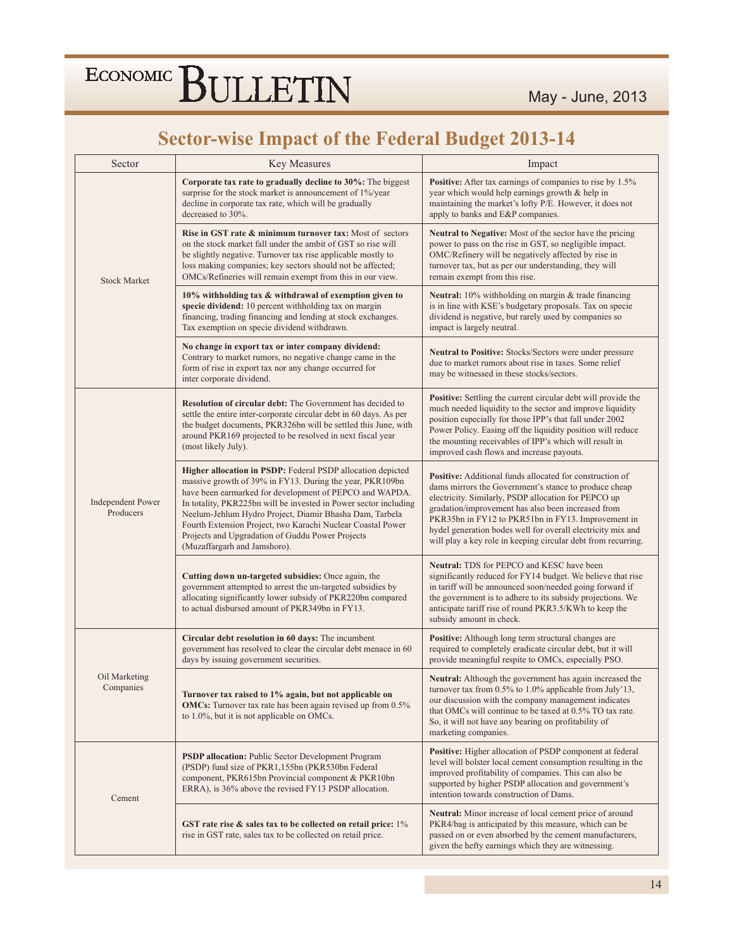### **Sector-wise Impact of the Federal Budget 2013-14**

| Sector                                | Key Measures                                                                                                                                                                                                                                                                                                                                                                                                                                                         | Impact                                                                                                                                                                                                                                                                                                                                                                                                                |
|---------------------------------------|----------------------------------------------------------------------------------------------------------------------------------------------------------------------------------------------------------------------------------------------------------------------------------------------------------------------------------------------------------------------------------------------------------------------------------------------------------------------|-----------------------------------------------------------------------------------------------------------------------------------------------------------------------------------------------------------------------------------------------------------------------------------------------------------------------------------------------------------------------------------------------------------------------|
|                                       | Corporate tax rate to gradually decline to 30%: The biggest<br>surprise for the stock market is announcement of 1%/year<br>decline in corporate tax rate, which will be gradually<br>decreased to 30%.                                                                                                                                                                                                                                                               | Positive: After tax earnings of companies to rise by 1.5%<br>year which would help earnings growth & help in<br>maintaining the market's lofty P/E. However, it does not<br>apply to banks and E&P companies.                                                                                                                                                                                                         |
| <b>Stock Market</b>                   | <b>Rise in GST rate &amp; minimum turnover tax:</b> Most of sectors<br>on the stock market fall under the ambit of GST so rise will<br>be slightly negative. Turnover tax rise applicable mostly to<br>loss making companies; key sectors should not be affected;<br>OMCs/Refineries will remain exempt from this in our view.                                                                                                                                       | Neutral to Negative: Most of the sector have the pricing<br>power to pass on the rise in GST, so negligible impact.<br>OMC/Refinery will be negatively affected by rise in<br>turnover tax, but as per our understanding, they will<br>remain exempt from this rise.                                                                                                                                                  |
|                                       | 10% withholding tax & withdrawal of exemption given to<br>specie dividend: 10 percent withholding tax on margin<br>financing, trading financing and lending at stock exchanges.<br>Tax exemption on specie dividend withdrawn.                                                                                                                                                                                                                                       | Neutral: 10% withholding on margin & trade financing<br>is in line with KSE's budgetary proposals. Tax on specie<br>dividend is negative, but rarely used by companies so<br>impact is largely neutral.                                                                                                                                                                                                               |
|                                       | No change in export tax or inter company dividend:<br>Contrary to market rumors, no negative change came in the<br>form of rise in export tax nor any change occurred for<br>inter corporate dividend.                                                                                                                                                                                                                                                               | Neutral to Positive: Stocks/Sectors were under pressure<br>due to market rumors about rise in taxes. Some relief<br>may be witnessed in these stocks/sectors.                                                                                                                                                                                                                                                         |
|                                       | <b>Resolution of circular debt:</b> The Government has decided to<br>settle the entire inter-corporate circular debt in 60 days. As per<br>the budget documents, PKR326bn will be settled this June, with<br>around PKR169 projected to be resolved in next fiscal year<br>(most likely July).                                                                                                                                                                       | <b>Positive:</b> Settling the current circular debt will provide the<br>much needed liquidity to the sector and improve liquidity<br>position especially for those IPP's that fall under 2002<br>Power Policy. Easing off the liquidity position will reduce<br>the mounting receivables of IPP's which will result in<br>improved cash flows and increase payouts.                                                   |
| <b>Independent Power</b><br>Producers | Higher allocation in PSDP: Federal PSDP allocation depicted<br>massive growth of 39% in FY13. During the year, PKR109bn<br>have been earmarked for development of PEPCO and WAPDA.<br>In totality, PKR225bn will be invested in Power sector including<br>Neelum-Jehlum Hydro Project, Diamir Bhasha Dam, Tarbela<br>Fourth Extension Project, two Karachi Nuclear Coastal Power<br>Projects and Upgradation of Guddu Power Projects<br>(Muzaffargarh and Jamshoro). | Positive: Additional funds allocated for construction of<br>dams mirrors the Government's stance to produce cheap<br>electricity. Similarly, PSDP allocation for PEPCO up<br>gradation/improvement has also been increased from<br>PKR35bn in FY12 to PKR51bn in FY13. Improvement in<br>hydel generation bodes well for overall electricity mix and<br>will play a key role in keeping circular debt from recurring. |
|                                       | Cutting down un-targeted subsidies: Once again, the<br>government attempted to arrest the un-targeted subsidies by<br>allocating significantly lower subsidy of PKR220bn compared<br>to actual disbursed amount of PKR349bn in FY13.                                                                                                                                                                                                                                 | Neutral: TDS for PEPCO and KESC have been<br>significantly reduced for FY14 budget. We believe that rise<br>in tariff will be announced soon/needed going forward if<br>the government is to adhere to its subsidy projections. We<br>anticipate tariff rise of round PKR3.5/KWh to keep the<br>subsidy amount in check.                                                                                              |
|                                       | Circular debt resolution in 60 days: The incumbent<br>government has resolved to clear the circular debt menace in 60<br>days by issuing government securities.                                                                                                                                                                                                                                                                                                      | Positive: Although long term structural changes are<br>required to completely eradicate circular debt, but it will<br>provide meaningful respite to OMCs, especially PSO.                                                                                                                                                                                                                                             |
| Oil Marketing<br>Companies            | Turnover tax raised to 1% again, but not applicable on<br><b>OMCs:</b> Turnover tax rate has been again revised up from 0.5%<br>to $1.0\%$ , but it is not applicable on OMCs.                                                                                                                                                                                                                                                                                       | Neutral: Although the government has again increased the<br>turnover tax from 0.5% to 1.0% applicable from July'13,<br>our discussion with the company management indicates<br>that OMCs will continue to be taxed at 0.5% TO tax rate.<br>So, it will not have any bearing on profitability of<br>marketing companies.                                                                                               |
| Cement                                | <b>PSDP allocation:</b> Public Sector Development Program<br>(PSDP) fund size of PKR1,155bn (PKR530bn Federal<br>component, PKR615bn Provincial component & PKR10bn<br>ERRA), is 36% above the revised FY13 PSDP allocation.                                                                                                                                                                                                                                         | Positive: Higher allocation of PSDP component at federal<br>level will bolster local cement consumption resulting in the<br>improved profitability of companies. This can also be<br>supported by higher PSDP allocation and government's<br>intention towards construction of Dams.                                                                                                                                  |
|                                       | GST rate rise $\&$ sales tax to be collected on retail price: $1\%$<br>rise in GST rate, sales tax to be collected on retail price.                                                                                                                                                                                                                                                                                                                                  | Neutral: Minor increase of local cement price of around<br>PKR4/bag is anticipated by this measure, which can be<br>passed on or even absorbed by the cement manufacturers,<br>given the hefty earnings which they are witnessing.                                                                                                                                                                                    |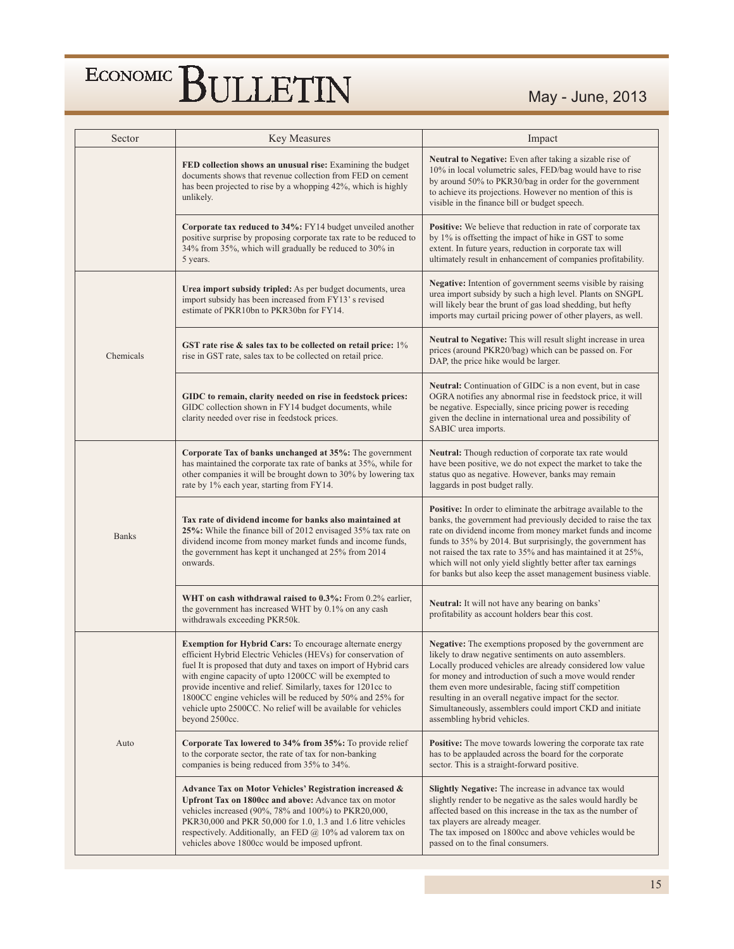May - June, 2013

| Sector       | Key Measures                                                                                                                                                                                                                                                                                                                                                                                                                                                                    | Impact                                                                                                                                                                                                                                                                                                                                                                                                                                                              |
|--------------|---------------------------------------------------------------------------------------------------------------------------------------------------------------------------------------------------------------------------------------------------------------------------------------------------------------------------------------------------------------------------------------------------------------------------------------------------------------------------------|---------------------------------------------------------------------------------------------------------------------------------------------------------------------------------------------------------------------------------------------------------------------------------------------------------------------------------------------------------------------------------------------------------------------------------------------------------------------|
|              | FED collection shows an unusual rise: Examining the budget<br>documents shows that revenue collection from FED on cement<br>has been projected to rise by a whopping 42%, which is highly<br>unlikely.                                                                                                                                                                                                                                                                          | Neutral to Negative: Even after taking a sizable rise of<br>10% in local volumetric sales, FED/bag would have to rise<br>by around 50% to PKR30/bag in order for the government<br>to achieve its projections. However no mention of this is<br>visible in the finance bill or budget speech.                                                                                                                                                                       |
|              | Corporate tax reduced to 34%: FY14 budget unveiled another<br>positive surprise by proposing corporate tax rate to be reduced to<br>34% from 35%, which will gradually be reduced to 30% in<br>5 years.                                                                                                                                                                                                                                                                         | <b>Positive:</b> We believe that reduction in rate of corporate tax<br>by 1% is offsetting the impact of hike in GST to some<br>extent. In future years, reduction in corporate tax will<br>ultimately result in enhancement of companies profitability.                                                                                                                                                                                                            |
|              | Urea import subsidy tripled: As per budget documents, urea<br>import subsidy has been increased from FY13's revised<br>estimate of PKR10bn to PKR30bn for FY14.                                                                                                                                                                                                                                                                                                                 | <b>Negative:</b> Intention of government seems visible by raising<br>urea import subsidy by such a high level. Plants on SNGPL<br>will likely bear the brunt of gas load shedding, but hefty<br>imports may curtail pricing power of other players, as well.                                                                                                                                                                                                        |
| Chemicals    | GST rate rise $\&$ sales tax to be collected on retail price: $1\%$<br>rise in GST rate, sales tax to be collected on retail price.                                                                                                                                                                                                                                                                                                                                             | Neutral to Negative: This will result slight increase in urea<br>prices (around PKR20/bag) which can be passed on. For<br>DAP, the price hike would be larger.                                                                                                                                                                                                                                                                                                      |
|              | GIDC to remain, clarity needed on rise in feedstock prices:<br>GIDC collection shown in FY14 budget documents, while<br>clarity needed over rise in feedstock prices.                                                                                                                                                                                                                                                                                                           | <b>Neutral:</b> Continuation of GIDC is a non event, but in case<br>OGRA notifies any abnormal rise in feedstock price, it will<br>be negative. Especially, since pricing power is receding<br>given the decline in international urea and possibility of<br>SABIC urea imports.                                                                                                                                                                                    |
|              | Corporate Tax of banks unchanged at 35%: The government<br>has maintained the corporate tax rate of banks at 35%, while for<br>other companies it will be brought down to 30% by lowering tax<br>rate by 1% each year, starting from FY14.                                                                                                                                                                                                                                      | Neutral: Though reduction of corporate tax rate would<br>have been positive, we do not expect the market to take the<br>status quo as negative. However, banks may remain<br>laggards in post budget rally.                                                                                                                                                                                                                                                         |
| <b>Banks</b> | Tax rate of dividend income for banks also maintained at<br>25%: While the finance bill of 2012 envisaged 35% tax rate on<br>dividend income from money market funds and income funds,<br>the government has kept it unchanged at 25% from 2014<br>onwards.                                                                                                                                                                                                                     | <b>Positive:</b> In order to eliminate the arbitrage available to the<br>banks, the government had previously decided to raise the tax<br>rate on dividend income from money market funds and income<br>funds to 35% by 2014. But surprisingly, the government has<br>not raised the tax rate to 35% and has maintained it at 25%,<br>which will not only yield slightly better after tax earnings<br>for banks but also keep the asset management business viable. |
|              | WHT on cash withdrawal raised to $0.3\%$ : From $0.2\%$ earlier,<br>the government has increased WHT by 0.1% on any cash<br>withdrawals exceeding PKR50k.                                                                                                                                                                                                                                                                                                                       | Neutral: It will not have any bearing on banks'<br>profitability as account holders bear this cost.                                                                                                                                                                                                                                                                                                                                                                 |
|              | <b>Exemption for Hybrid Cars:</b> To encourage alternate energy<br>efficient Hybrid Electric Vehicles (HEVs) for conservation of<br>fuel It is proposed that duty and taxes on import of Hybrid cars<br>with engine capacity of upto 1200CC will be exempted to<br>provide incentive and relief. Similarly, taxes for 1201cc to<br>1800CC engine vehicles will be reduced by 50% and 25% for<br>vehicle upto 2500CC. No relief will be available for vehicles<br>beyond 2500cc. | <b>Negative:</b> The exemptions proposed by the government are<br>likely to draw negative sentiments on auto assemblers.<br>Locally produced vehicles are already considered low value<br>for money and introduction of such a move would render<br>them even more undesirable, facing stiff competition<br>resulting in an overall negative impact for the sector.<br>Simultaneously, assemblers could import CKD and initiate<br>assembling hybrid vehicles.      |
| Auto         | Corporate Tax lowered to 34% from 35%: To provide relief<br>to the corporate sector, the rate of tax for non-banking<br>companies is being reduced from 35% to 34%.                                                                                                                                                                                                                                                                                                             | <b>Positive:</b> The move towards lowering the corporate tax rate<br>has to be applauded across the board for the corporate<br>sector. This is a straight-forward positive.                                                                                                                                                                                                                                                                                         |
|              | Advance Tax on Motor Vehicles' Registration increased &<br>Upfront Tax on 1800cc and above: Advance tax on motor<br>vehicles increased (90%, 78% and 100%) to PKR20,000,<br>PKR30,000 and PKR 50,000 for 1.0, 1.3 and 1.6 litre vehicles<br>respectively. Additionally, an FED $@$ 10% ad valorem tax on<br>vehicles above 1800cc would be imposed upfront.                                                                                                                     | Slightly Negative: The increase in advance tax would<br>slightly render to be negative as the sales would hardly be<br>affected based on this increase in the tax as the number of<br>tax players are already meager.<br>The tax imposed on 1800cc and above vehicles would be<br>passed on to the final consumers.                                                                                                                                                 |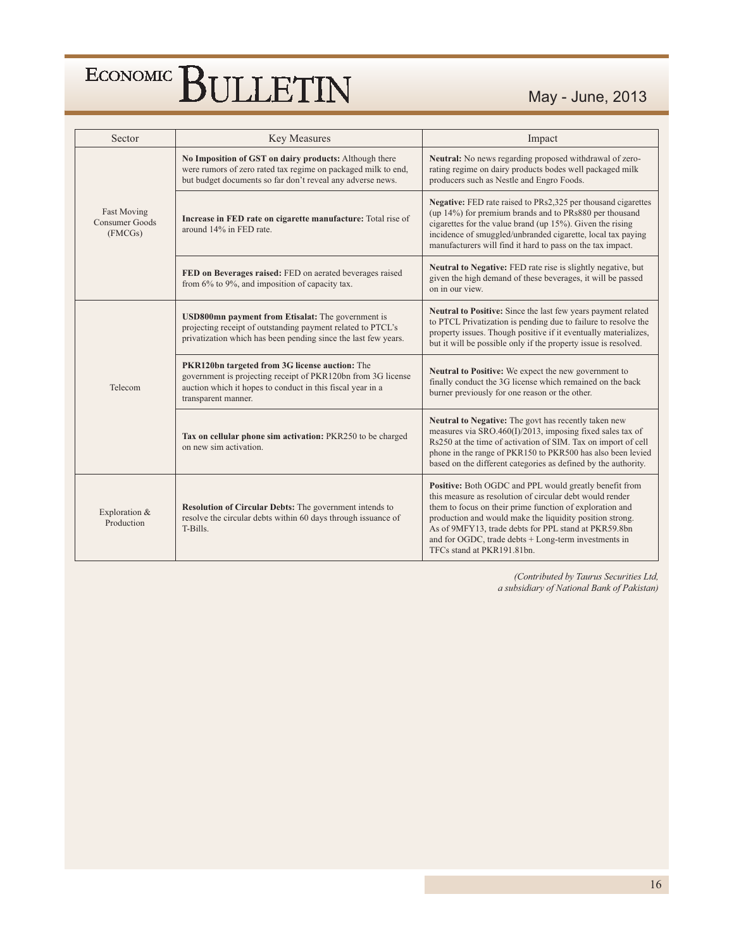### May - June, 2013

| Sector                                                 | <b>Key Measures</b>                                                                                                                                                                                 | Impact                                                                                                                                                                                                                                                                                                                                                                                   |
|--------------------------------------------------------|-----------------------------------------------------------------------------------------------------------------------------------------------------------------------------------------------------|------------------------------------------------------------------------------------------------------------------------------------------------------------------------------------------------------------------------------------------------------------------------------------------------------------------------------------------------------------------------------------------|
|                                                        | No Imposition of GST on dairy products: Although there<br>were rumors of zero rated tax regime on packaged milk to end,<br>but budget documents so far don't reveal any adverse news.               | Neutral: No news regarding proposed withdrawal of zero-<br>rating regime on dairy products bodes well packaged milk<br>producers such as Nestle and Engro Foods.                                                                                                                                                                                                                         |
| <b>Fast Moving</b><br><b>Consumer Goods</b><br>(FMCGs) | Increase in FED rate on cigarette manufacture: Total rise of<br>around 14% in FED rate.                                                                                                             | Negative: FED rate raised to PRs2,325 per thousand cigarettes<br>(up 14%) for premium brands and to PRs880 per thousand<br>cigarettes for the value brand (up $15\%$ ). Given the rising<br>incidence of smuggled/unbranded cigarette, local tax paying<br>manufacturers will find it hard to pass on the tax impact.                                                                    |
|                                                        | FED on Beverages raised: FED on aerated beverages raised<br>from $6\%$ to $9\%$ , and imposition of capacity tax.                                                                                   | Neutral to Negative: FED rate rise is slightly negative, but<br>given the high demand of these beverages, it will be passed<br>on in our view.                                                                                                                                                                                                                                           |
|                                                        | USD800mn payment from Etisalat: The government is<br>projecting receipt of outstanding payment related to PTCL's<br>privatization which has been pending since the last few years.                  | Neutral to Positive: Since the last few years payment related<br>to PTCL Privatization is pending due to failure to resolve the<br>property issues. Though positive if it eventually materializes,<br>but it will be possible only if the property issue is resolved.                                                                                                                    |
| Telecom                                                | PKR120bn targeted from 3G license auction: The<br>government is projecting receipt of PKR120bn from 3G license<br>auction which it hopes to conduct in this fiscal year in a<br>transparent manner. | Neutral to Positive: We expect the new government to<br>finally conduct the 3G license which remained on the back<br>burner previously for one reason or the other.                                                                                                                                                                                                                      |
|                                                        | Tax on cellular phone sim activation: PKR250 to be charged<br>on new sim activation.                                                                                                                | Neutral to Negative: The govt has recently taken new<br>measures via SRO.460(I)/2013, imposing fixed sales tax of<br>Rs250 at the time of activation of SIM. Tax on import of cell<br>phone in the range of PKR150 to PKR500 has also been levied<br>based on the different categories as defined by the authority.                                                                      |
| Exploration &<br>Production                            | Resolution of Circular Debts: The government intends to<br>resolve the circular debts within 60 days through issuance of<br>T-Bills.                                                                | Positive: Both OGDC and PPL would greatly benefit from<br>this measure as resolution of circular debt would render<br>them to focus on their prime function of exploration and<br>production and would make the liquidity position strong.<br>As of 9MFY13, trade debts for PPL stand at PKR59.8bn<br>and for OGDC, trade debts + Long-term investments in<br>TFCs stand at PKR191.81bn. |

(Contributed by Taurus Securities Ltd, a subsidiary of National Bank of Pakistan)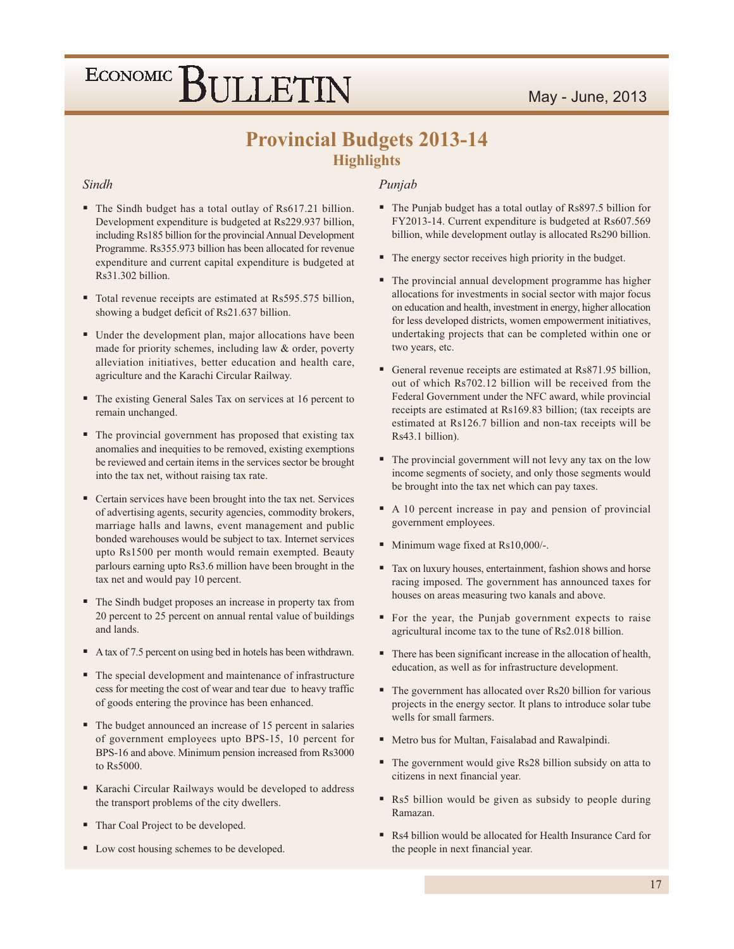### **Provincial Budgets 2013-14 Highlights**

#### Sindh

- The Sindh budget has a total outlay of Rs617.21 billion. Development expenditure is budgeted at Rs229.937 billion, including Rs185 billion for the provincial Annual Development Programme. Rs355.973 billion has been allocated for revenue expenditure and current capital expenditure is budgeted at Rs31.302 billion.
- Total revenue receipts are estimated at Rs595.575 billion, showing a budget deficit of Rs21.637 billion.
- Under the development plan, major allocations have been made for priority schemes, including law & order, poverty alleviation initiatives, better education and health care, agriculture and the Karachi Circular Railway.
- The existing General Sales Tax on services at 16 percent to remain unchanged.
- The provincial government has proposed that existing tax anomalies and inequities to be removed, existing exemptions be reviewed and certain items in the services sector be brought into the tax net, without raising tax rate.
- Certain services have been brought into the tax net. Services of advertising agents, security agencies, commodity brokers, marriage halls and lawns, event management and public bonded warehouses would be subject to tax. Internet services upto Rs1500 per month would remain exempted. Beauty parlours earning upto Rs3.6 million have been brought in the tax net and would pay 10 percent.
- The Sindh budget proposes an increase in property tax from 20 percent to 25 percent on annual rental value of buildings and lands.
- A tax of 7.5 percent on using bed in hotels has been withdrawn.
- The special development and maintenance of infrastructure cess for meeting the cost of wear and tear due to heavy traffic of goods entering the province has been enhanced.
- The budget announced an increase of 15 percent in salaries of government employees upto BPS-15, 10 percent for BPS-16 and above. Minimum pension increased from Rs3000 to Rs5000.
- Karachi Circular Railways would be developed to address the transport problems of the city dwellers.
- Thar Coal Project to be developed.
- Low cost housing schemes to be developed.

#### Punjab

- The Punjab budget has a total outlay of Rs897.5 billion for FY2013-14. Current expenditure is budgeted at Rs607.569 billion, while development outlay is allocated Rs290 billion.
- The energy sector receives high priority in the budget.
- The provincial annual development programme has higher allocations for investments in social sector with major focus on education and health, investment in energy, higher allocation for less developed districts, women empowerment initiatives, undertaking projects that can be completed within one or two years, etc.
- General revenue receipts are estimated at Rs871.95 billion, out of which Rs702.12 billion will be received from the Federal Government under the NFC award, while provincial receipts are estimated at Rs169.83 billion; (tax receipts are estimated at Rs126.7 billion and non-tax receipts will be Rs43.1 billion).
- The provincial government will not levy any tax on the low income segments of society, and only those segments would be brought into the tax net which can pay taxes.
- A 10 percent increase in pay and pension of provincial government employees.
- Minimum wage fixed at Rs10,000/-.
- Tax on luxury houses, entertainment, fashion shows and horse racing imposed. The government has announced taxes for houses on areas measuring two kanals and above.
- For the year, the Punjab government expects to raise agricultural income tax to the tune of Rs2.018 billion.
- There has been significant increase in the allocation of health, education, as well as for infrastructure development.
- The government has allocated over Rs20 billion for various projects in the energy sector. It plans to introduce solar tube wells for small farmers.
- " Metro bus for Multan, Faisalabad and Rawalpindi.
- The government would give Rs28 billion subsidy on atta to citizens in next financial year.
- Rs5 billion would be given as subsidy to people during Ramazan.
- Rs4 billion would be allocated for Health Insurance Card for the people in next financial year.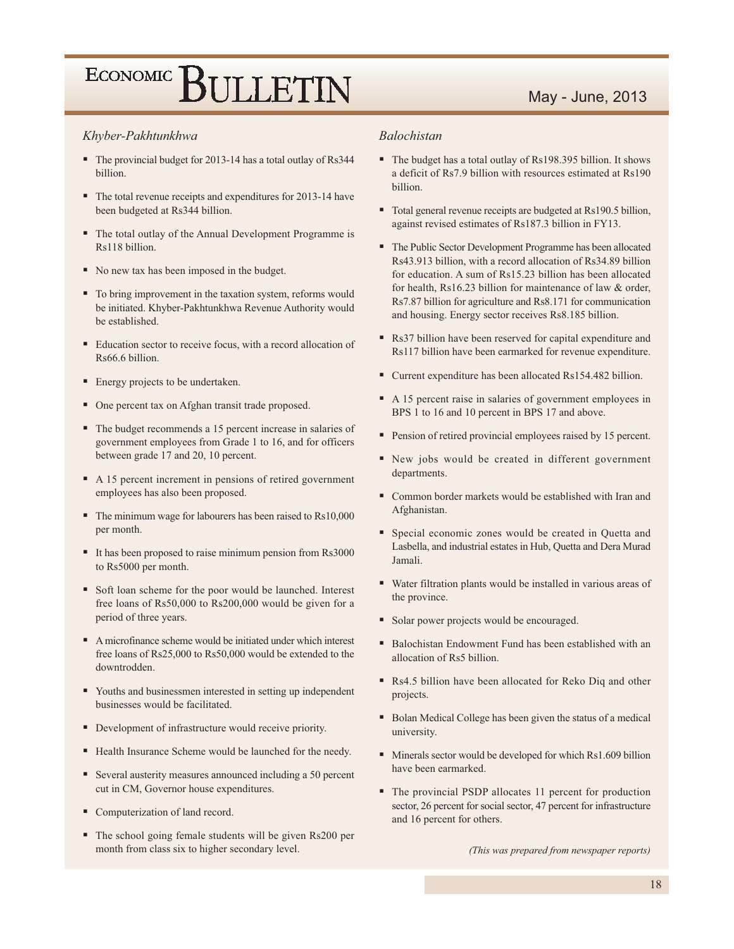### May - June, 2013

#### Khyber-Pakhtunkhwa

- The provincial budget for 2013-14 has a total outlay of Rs344 billion.
- The total revenue receipts and expenditures for 2013-14 have been budgeted at Rs344 billion.
- The total outlay of the Annual Development Programme is Rs118 billion.
- No new tax has been imposed in the budget.
- To bring improvement in the taxation system, reforms would be initiated. Khyber-Pakhtunkhwa Revenue Authority would be established.
- Education sector to receive focus, with a record allocation of Rs66.6 billion.
- Energy projects to be undertaken.
- One percent tax on Afghan transit trade proposed.
- The budget recommends a 15 percent increase in salaries of government employees from Grade 1 to 16, and for officers between grade 17 and 20, 10 percent.
- A 15 percent increment in pensions of retired government employees has also been proposed.
- $\blacksquare$  The minimum wage for labourers has been raised to Rs10,000 per month.
- It has been proposed to raise minimum pension from Rs3000 to Rs5000 per month.
- Soft loan scheme for the poor would be launched. Interest free loans of Rs50,000 to Rs200,000 would be given for a period of three years.
- A microfinance scheme would be initiated under which interest free loans of Rs25,000 to Rs50,000 would be extended to the downtrodden.
- Youths and businessmen interested in setting up independent businesses would be facilitated.
- Development of infrastructure would receive priority.
- Health Insurance Scheme would be launched for the needy.
- Several austerity measures announced including a 50 percent cut in CM, Governor house expenditures.
- Computerization of land record.
- The school going female students will be given Rs200 per month from class six to higher secondary level.

#### **Balochistan**

- The budget has a total outlay of Rs198.395 billion. It shows a deficit of Rs7.9 billion with resources estimated at Rs190 billion.
- Total general revenue receipts are budgeted at Rs190.5 billion, against revised estimates of Rs187.3 billion in FY13.
- The Public Sector Development Programme has been allocated Rs43.913 billion, with a record allocation of Rs34.89 billion for education. A sum of Rs15.23 billion has been allocated for health, Rs16.23 billion for maintenance of law  $\&$  order, Rs7.87 billion for agriculture and Rs8.171 for communication and housing. Energy sector receives Rs8.185 billion.
- Rs37 billion have been reserved for capital expenditure and Rs117 billion have been earmarked for revenue expenditure.
- Current expenditure has been allocated Rs154.482 billion.
- A 15 percent raise in salaries of government employees in BPS 1 to 16 and 10 percent in BPS 17 and above.
- Pension of retired provincial employees raised by 15 percent.
- Rew jobs would be created in different government departments.
- Common border markets would be established with Iran and Afghanistan.
- Special economic zones would be created in Quetta and Lasbella, and industrial estates in Hub, Quetta and Dera Murad **Iamali**
- Water filtration plants would be installed in various areas of the province.
- Solar power projects would be encouraged.
- Balochistan Endowment Fund has been established with an allocation of Rs5 billion.
- Rs4.5 billion have been allocated for Reko Diq and other projects.
- Bolan Medical College has been given the status of a medical university.
- Minerals sector would be developed for which Rs1.609 billion have been earmarked.
- The provincial PSDP allocates 11 percent for production sector, 26 percent for social sector, 47 percent for infrastructure and 16 percent for others.

(This was prepared from newspaper reports)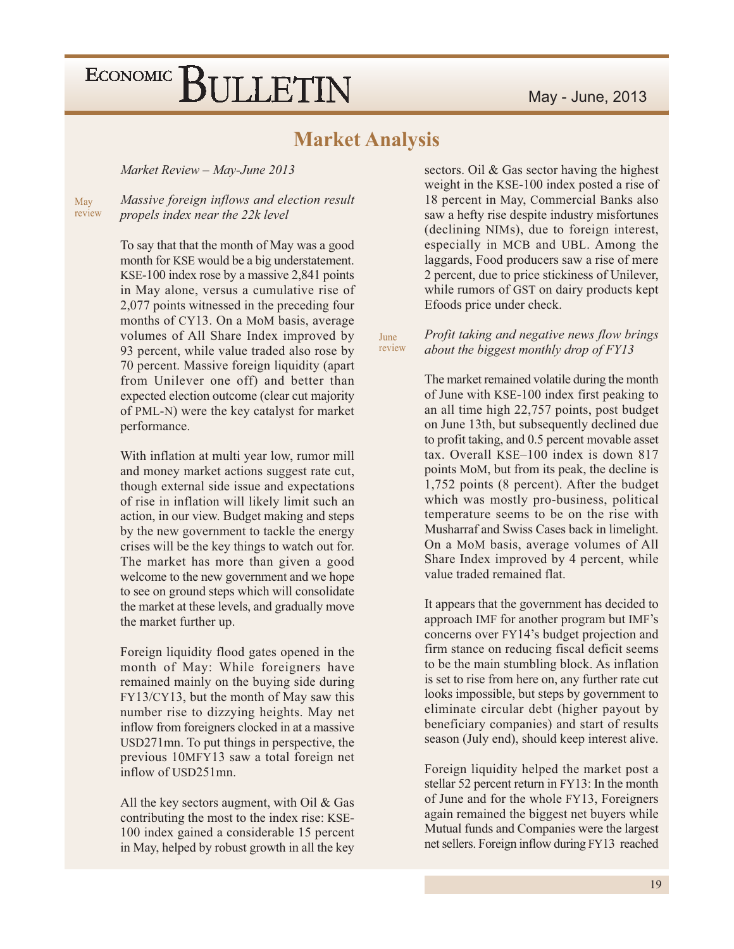### **Market Analysis**

Market Review - May-June 2013

Massive foreign inflows and election result May review propels index near the 22k level

> To say that that the month of May was a good month for KSE would be a big understatement. KSE-100 index rose by a massive 2,841 points in May alone, versus a cumulative rise of 2,077 points witnessed in the preceding four months of CY13. On a MoM basis, average volumes of All Share Index improved by 93 percent, while value traded also rose by 70 percent. Massive foreign liquidity (apart) from Unilever one off) and better than expected election outcome (clear cut majority of PML-N) were the key catalyst for market performance.

> With inflation at multi year low, rumor mill and money market actions suggest rate cut, though external side issue and expectations of rise in inflation will likely limit such an action, in our view. Budget making and steps by the new government to tackle the energy crises will be the key things to watch out for. The market has more than given a good welcome to the new government and we hope to see on ground steps which will consolidate the market at these levels, and gradually move the market further up.

> Foreign liquidity flood gates opened in the month of May: While foreigners have remained mainly on the buying side during FY13/CY13, but the month of May saw this number rise to dizzying heights. May net inflow from foreigners clocked in at a massive USD271mn. To put things in perspective, the previous 10MFY13 saw a total foreign net inflow of USD251mn.

> All the key sectors augment, with Oil  $& Gas$ contributing the most to the index rise: KSE-100 index gained a considerable 15 percent in May, helped by robust growth in all the key

sectors. Oil & Gas sector having the highest weight in the KSE-100 index posted a rise of 18 percent in May, Commercial Banks also saw a hefty rise despite industry misfortunes (declining NIMs), due to foreign interest, especially in MCB and UBL. Among the laggards, Food producers saw a rise of mere 2 percent, due to price stickiness of Unilever, while rumors of GST on dairy products kept Efoods price under check.

#### Profit taking and negative news flow brings June review about the biggest monthly drop of FY13

The market remained volatile during the month of June with KSE-100 index first peaking to an all time high 22,757 points, post budget on June 13th, but subsequently declined due to profit taking, and 0.5 percent movable asset tax. Overall KSE-100 index is down 817 points MoM, but from its peak, the decline is 1,752 points (8 percent). After the budget which was mostly pro-business, political temperature seems to be on the rise with Musharraf and Swiss Cases back in limelight. On a MoM basis, average volumes of All Share Index improved by 4 percent, while value traded remained flat.

It appears that the government has decided to approach IMF for another program but IMF's concerns over FY14's budget projection and firm stance on reducing fiscal deficit seems to be the main stumbling block. As inflation is set to rise from here on, any further rate cut looks impossible, but steps by government to eliminate circular debt (higher payout by beneficiary companies) and start of results season (July end), should keep interest alive.

Foreign liquidity helped the market post a stellar 52 percent return in FY13: In the month of June and for the whole FY13, Foreigners again remained the biggest net buyers while Mutual funds and Companies were the largest net sellers. Foreign inflow during FY13 reached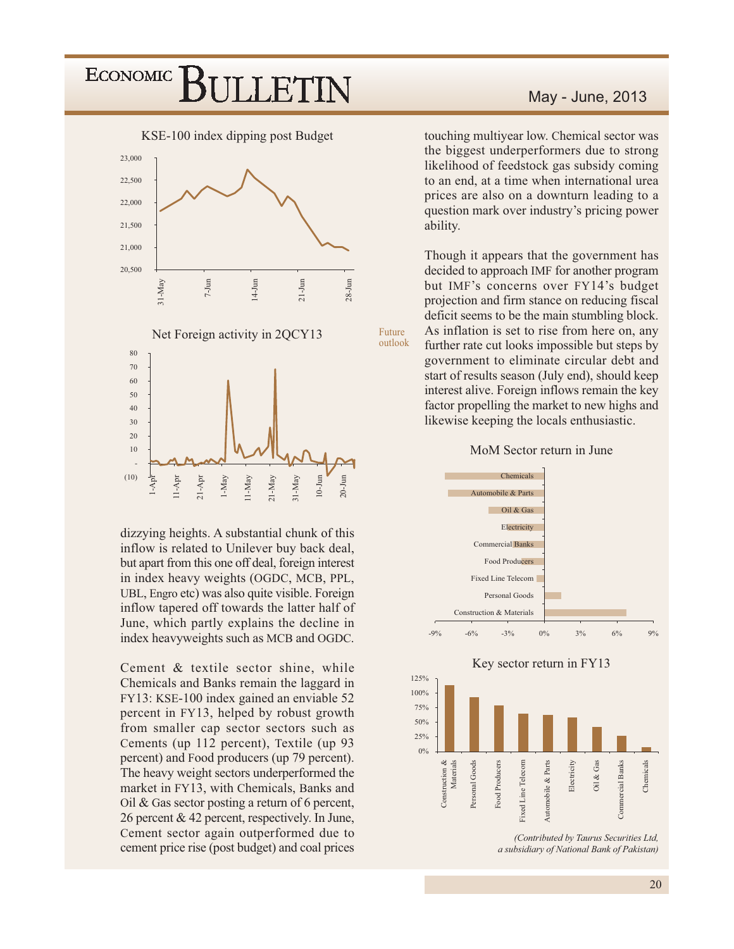

dizzying heights. A substantial chunk of this inflow is related to Unilever buy back deal, but apart from this one off deal, foreign interest in index heavy weights (OGDC, MCB, PPL, UBL, Engro etc) was also quite visible. Foreign inflow tapered off towards the latter half of June, which partly explains the decline in index heavyweights such as MCB and OGDC.

Cement & textile sector shine, while Chemicals and Banks remain the laggard in FY13: KSE-100 index gained an enviable 52 percent in FY13, helped by robust growth from smaller cap sector sectors such as Cements (up 112 percent), Textile (up 93 percent) and Food producers (up 79 percent). The heavy weight sectors underperformed the market in FY13, with Chemicals, Banks and Oil & Gas sector posting a return of 6 percent, 26 percent & 42 percent, respectively. In June, Cement sector again outperformed due to cement price rise (post budget) and coal prices

### May - June, 2013

touching multiyear low. Chemical sector was the biggest underperformers due to strong likelihood of feedstock gas subsidy coming to an end, at a time when international urea prices are also on a downturn leading to a question mark over industry's pricing power ability.

Though it appears that the government has decided to approach IMF for another program but IMF's concerns over FY14's budget projection and firm stance on reducing fiscal deficit seems to be the main stumbling block. As inflation is set to rise from here on, any further rate cut looks impossible but steps by government to eliminate circular debt and start of results season (July end), should keep interest alive. Foreign inflows remain the key factor propelling the market to new highs and likewise keeping the locals enthusiastic.

Future

outlook

#### MoM Sector return in June



(Contributed by Taurus Securities Ltd, a subsidiary of National Bank of Pakistan)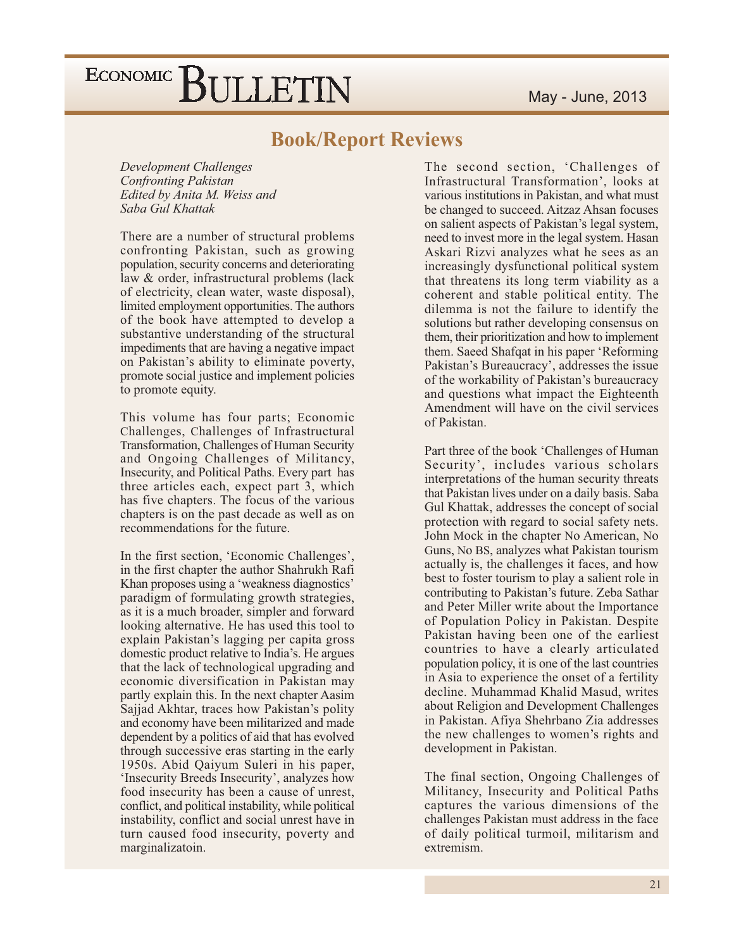### **Book/Report Reviews**

Development Challenges **Confronting Pakistan** Edited by Anita M. Weiss and Saba Gul Khattak

There are a number of structural problems confronting Pakistan, such as growing population, security concerns and deteriorating law & order, infrastructural problems (lack of electricity, clean water, waste disposal), limited employment opportunities. The authors of the book have attempted to develop a substantive understanding of the structural impediments that are having a negative impact on Pakistan's ability to eliminate poverty, promote social justice and implement policies to promote equity.

This volume has four parts; Economic Challenges, Challenges of Infrastructural Transformation, Challenges of Human Security and Ongoing Challenges of Militancy, Insecurity, and Political Paths. Every part has three articles each, expect part 3, which has five chapters. The focus of the various chapters is on the past decade as well as on recommendations for the future.

In the first section, 'Economic Challenges', in the first chapter the author Shahrukh Rafi Khan proposes using a 'weakness diagnostics' paradigm of formulating growth strategies, as it is a much broader, simpler and forward looking alternative. He has used this tool to explain Pakistan's lagging per capita gross domestic product relative to India's. He argues that the lack of technological upgrading and economic diversification in Pakistan may partly explain this. In the next chapter Aasim Sajjad Akhtar, traces how Pakistan's polity and economy have been militarized and made dependent by a politics of aid that has evolved through successive eras starting in the early 1950s. Abid Qaiyum Suleri in his paper, 'Insecurity Breeds Insecurity', analyzes how food insecurity has been a cause of unrest, conflict, and political instability, while political instability, conflict and social unrest have in turn caused food insecurity, poverty and marginalizatoin.

The second section, 'Challenges of Infrastructural Transformation', looks at various institutions in Pakistan, and what must be changed to succeed. Aitzaz Ahsan focuses on salient aspects of Pakistan's legal system, need to invest more in the legal system. Hasan Askari Rizvi analyzes what he sees as an increasingly dysfunctional political system that threatens its long term viability as a coherent and stable political entity. The dilemma is not the failure to identify the solutions but rather developing consensus on them, their prioritization and how to implement them. Saeed Shafqat in his paper 'Reforming Pakistan's Bureaucracy', addresses the issue of the workability of Pakistan's bureaucracy and questions what impact the Eighteenth Amendment will have on the civil services of Pakistan.

Part three of the book 'Challenges of Human Security', includes various scholars interpretations of the human security threats that Pakistan lives under on a daily basis. Saba Gul Khattak, addresses the concept of social protection with regard to social safety nets. John Mock in the chapter No American, No Guns, No BS, analyzes what Pakistan tourism actually is, the challenges it faces, and how best to foster tourism to play a salient role in contributing to Pakistan's future. Zeba Sathar and Peter Miller write about the Importance of Population Policy in Pakistan. Despite Pakistan having been one of the earliest countries to have a clearly articulated population policy, it is one of the last countries in Asia to experience the onset of a fertility decline. Muhammad Khalid Masud, writes about Religion and Development Challenges in Pakistan. Afiya Shehrbano Zia addresses the new challenges to women's rights and development in Pakistan.

The final section, Ongoing Challenges of Militancy, Insecurity and Political Paths captures the various dimensions of the challenges Pakistan must address in the face of daily political turmoil, militarism and extremism.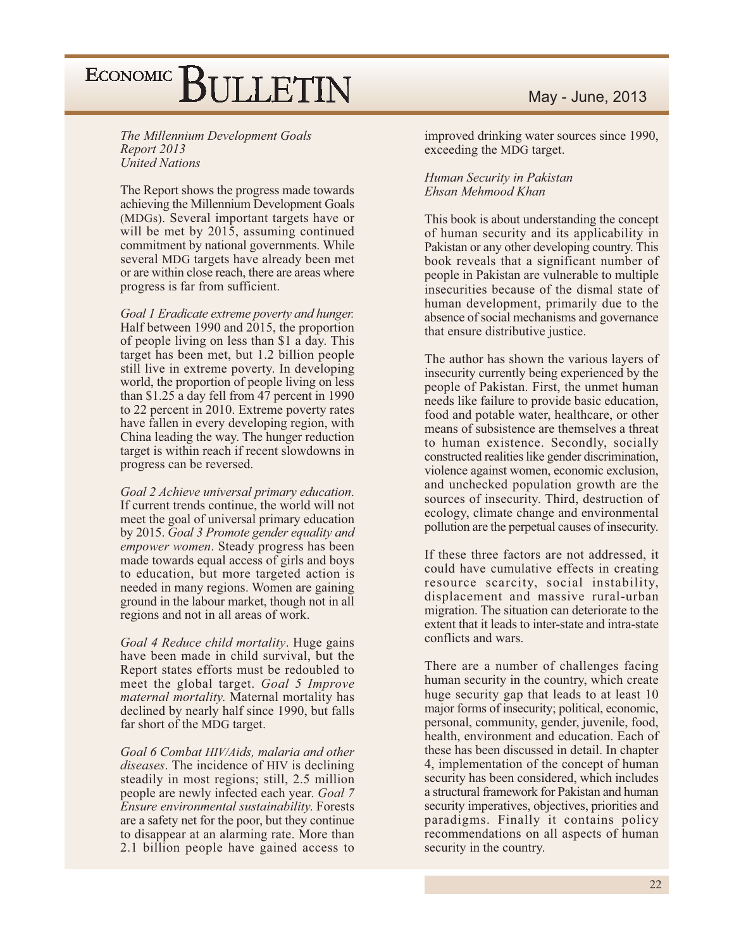The Millennium Development Goals Report 2013 **United Nations** 

The Report shows the progress made towards achieving the Millennium Development Goals (MDGs). Several important targets have or will be met by 2015, assuming continued commitment by national governments. While several MDG targets have already been met or are within close reach, there are areas where progress is far from sufficient.

Goal 1 Eradicate extreme poverty and hunger. Half between 1990 and 2015, the proportion of people living on less than \$1 a day. This target has been met, but 1.2 billion people still live in extreme poverty. In developing world, the proportion of people living on less than \$1.25 a day fell from 47 percent in 1990 to 22 percent in 2010. Extreme poverty rates have fallen in every developing region, with China leading the way. The hunger reduction target is within reach if recent slowdowns in progress can be reversed.

Goal 2 Achieve universal primary education. If current trends continue, the world will not meet the goal of universal primary education by 2015. Goal 3 Promote gender equality and empower women. Steady progress has been made towards equal access of girls and boys to education, but more targeted action is needed in many regions. Women are gaining ground in the labour market, though not in all regions and not in all areas of work.

Goal 4 Reduce child mortality. Huge gains have been made in child survival, but the Report states efforts must be redoubled to meet the global target. Goal 5 Improve maternal mortality. Maternal mortality has declined by nearly half since 1990, but falls far short of the MDG target.

Goal 6 Combat HIV/Aids, malaria and other *diseases*. The incidence of HIV is declining steadily in most regions; still, 2.5 million people are newly infected each year. Goal 7 Ensure environmental sustainability. Forests are a safety net for the poor, but they continue to disappear at an alarming rate. More than 2.1 billion people have gained access to

improved drinking water sources since 1990, exceeding the MDG target.

#### Human Security in Pakistan Ehsan Mehmood Khan

This book is about understanding the concept of human security and its applicability in Pakistan or any other developing country. This book reveals that a significant number of people in Pakistan are vulnerable to multiple insecurities because of the dismal state of human development, primarily due to the absence of social mechanisms and governance that ensure distributive justice.

The author has shown the various layers of insecurity currently being experienced by the people of Pakistan. First, the unmet human needs like failure to provide basic education, food and potable water, healthcare, or other means of subsistence are themselves a threat to human existence. Secondly, socially constructed realities like gender discrimination, violence against women, economic exclusion, and unchecked population growth are the sources of insecurity. Third, destruction of ecology, climate change and environmental pollution are the perpetual causes of insecurity.

If these three factors are not addressed, it could have cumulative effects in creating resource scarcity, social instability, displacement and massive rural-urban migration. The situation can deteriorate to the extent that it leads to inter-state and intra-state conflicts and wars.

There are a number of challenges facing human security in the country, which create huge security gap that leads to at least 10 major forms of insecurity; political, economic, personal, community, gender, juvenile, food, health, environment and education. Each of these has been discussed in detail. In chapter 4, implementation of the concept of human security has been considered, which includes a structural framework for Pakistan and human security imperatives, objectives, priorities and paradigms. Finally it contains policy recommendations on all aspects of human security in the country.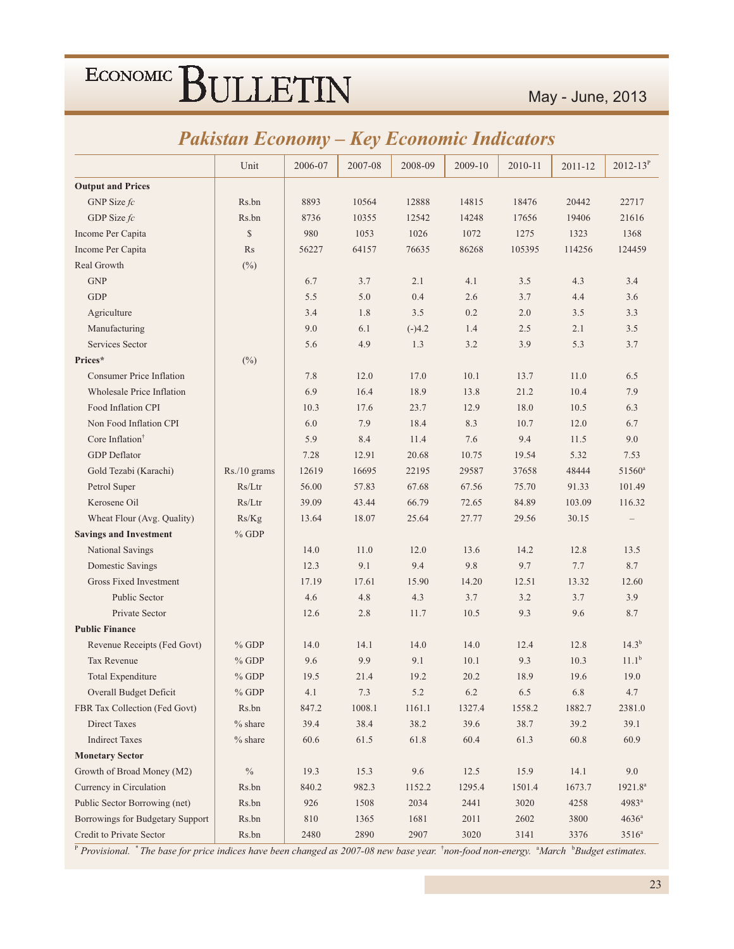|  | <b>Pakistan Economy – Key Economic Indicators</b> |
|--|---------------------------------------------------|
|--|---------------------------------------------------|

|                                  | Unit         | 2006-07  | 2007-08 | 2008-09  | 2009-10 | 2010-11 | 2011-12  | $2012 - 13^P$     |
|----------------------------------|--------------|----------|---------|----------|---------|---------|----------|-------------------|
| <b>Output and Prices</b>         |              |          |         |          |         |         |          |                   |
| GNP Size $fc$                    | Rs.bn        | 8893     | 10564   | 12888    | 14815   | 18476   | 20442    | 22717             |
| GDP Size fc                      | Rs.bn        | 8736     | 10355   | 12542    | 14248   | 17656   | 19406    | 21616             |
| Income Per Capita                | \$           | 980      | 1053    | 1026     | 1072    | 1275    | 1323     | 1368              |
| Income Per Capita                | Rs           | 56227    | 64157   | 76635    | 86268   | 105395  | 114256   | 124459            |
| Real Growth                      | $(\%)$       |          |         |          |         |         |          |                   |
| <b>GNP</b>                       |              | 6.7      | 3.7     | 2.1      | 4.1     | 3.5     | 4.3      | 3.4               |
| <b>GDP</b>                       |              | 5.5      | 5.0     | 0.4      | 2.6     | 3.7     | 4.4      | 3.6               |
| Agriculture                      |              | 3.4      | 1.8     | 3.5      | 0.2     | 2.0     | 3.5      | 3.3               |
| Manufacturing                    |              | 9.0      | 6.1     | $(-)4.2$ | 1.4     | 2.5     | 2.1      | 3.5               |
| Services Sector                  |              | 5.6      | 4.9     | 1.3      | 3.2     | 3.9     | 5.3      | 3.7               |
| Prices*                          | $(\%)$       |          |         |          |         |         |          |                   |
| <b>Consumer Price Inflation</b>  |              | 7.8      | 12.0    | 17.0     | 10.1    | 13.7    | 11.0     | 6.5               |
| <b>Wholesale Price Inflation</b> |              | 6.9      | 16.4    | 18.9     | 13.8    | 21.2    | 10.4     | 7.9               |
| Food Inflation CPI               |              | 10.3     | 17.6    | 23.7     | 12.9    | 18.0    | 10.5     | 6.3               |
| Non Food Inflation CPI           |              | 6.0      | 7.9     | 18.4     | 8.3     | 10.7    | 12.0     | 6.7               |
| Core Inflation <sup>†</sup>      |              | 5.9      | 8.4     | 11.4     | 7.6     | 9.4     | 11.5     | 9.0               |
| <b>GDP</b> Deflator              |              | 7.28     | 12.91   | 20.68    | 10.75   | 19.54   | 5.32     | 7.53              |
| Gold Tezabi (Karachi)            | Rs./10 grams | 12619    | 16695   | 22195    | 29587   | 37658   | 48444    | $51560^{\rm a}$   |
| Petrol Super                     | Rs/Ltr       | 56.00    | 57.83   | 67.68    | 67.56   | 75.70   | 91.33    | 101.49            |
| Kerosene Oil                     | Rs/Ltr       | 39.09    | 43.44   | 66.79    | 72.65   | 84.89   | 103.09   | 116.32            |
| Wheat Flour (Avg. Quality)       | Rs/Kg        | 13.64    | 18.07   | 25.64    | 27.77   | 29.56   | 30.15    |                   |
| <b>Savings and Investment</b>    | $%$ GDP      |          |         |          |         |         |          |                   |
| National Savings                 |              | 14.0     | 11.0    | 12.0     | 13.6    | 14.2    | 12.8     | 13.5              |
| Domestic Savings                 |              | 12.3     | 9.1     | 9.4      | 9.8     | 9.7     | 7.7      | 8.7               |
| <b>Gross Fixed Investment</b>    |              | 17.19    | 17.61   | 15.90    | 14.20   | 12.51   | 13.32    | 12.60             |
| Public Sector                    |              | 4.6      | 4.8     | 4.3      | 3.7     | 3.2     | 3.7      | 3.9               |
| Private Sector                   |              | 12.6     | 2.8     | 11.7     | 10.5    | 9.3     | 9.6      | 8.7               |
| <b>Public Finance</b>            |              |          |         |          |         |         |          |                   |
| Revenue Receipts (Fed Govt)      | $%$ GDP      | 14.0     | 14.1    | 14.0     | 14.0    | 12.4    | 12.8     | 14.3 <sup>b</sup> |
| Tax Revenue                      | $%$ GDP      | 9.6      | 9.9     | 9.1      | 10.1    | 9.3     | 10.3     | 11.1 <sup>b</sup> |
| Total Expenditure                | $%$ GDP      | 19.5     | 21.4    | 19.2     | 20.2    | 18.9    | 19.6     | 19.0              |
| Overall Budget Deficit           | $\%$ GDP     | 4.1      | 7.3     | $5.2\,$  | 6.2     | $6.5\,$ | 6.8      | 4.7               |
| FBR Tax Collection (Fed Govt)    | Rs.bn        | 847.2    | 1008.1  | 1161.1   | 1327.4  | 1558.2  | 1882.7   | 2381.0            |
| Direct Taxes                     | $%$ share    | 39.4     | 38.4    | 38.2     | 39.6    | 38.7    | 39.2     | 39.1              |
| <b>Indirect Taxes</b>            | $%$ share    | $60.6\,$ | 61.5    | 61.8     | 60.4    | 61.3    | $60.8\,$ | 60.9              |
| <b>Monetary Sector</b>           |              |          |         |          |         |         |          |                   |
| Growth of Broad Money (M2)       | $\%$         | 19.3     | 15.3    | 9.6      | 12.5    | 15.9    | 14.1     | 9.0               |
| Currency in Circulation          | Rs.bn        | 840.2    | 982.3   | 1152.2   | 1295.4  | 1501.4  | 1673.7   | $1921.8^a$        |
| Public Sector Borrowing (net)    | Rs.bn        | 926      | 1508    | 2034     | 2441    | 3020    | 4258     | 4983 <sup>a</sup> |
| Borrowings for Budgetary Support | Rs.bn        | $810\,$  | 1365    | 1681     | 2011    | 2602    | 3800     | $4636^a$          |
| Credit to Private Sector         | Rs.bn        | 2480     | 2890    | 2907     | 3020    | 3141    | 3376     | $3516^{\rm a}$    |

P Provisional. \* The base for price indices have been changed as 2007-08 new base year. \*non-food non-energy. \*March \*Budget estimates.